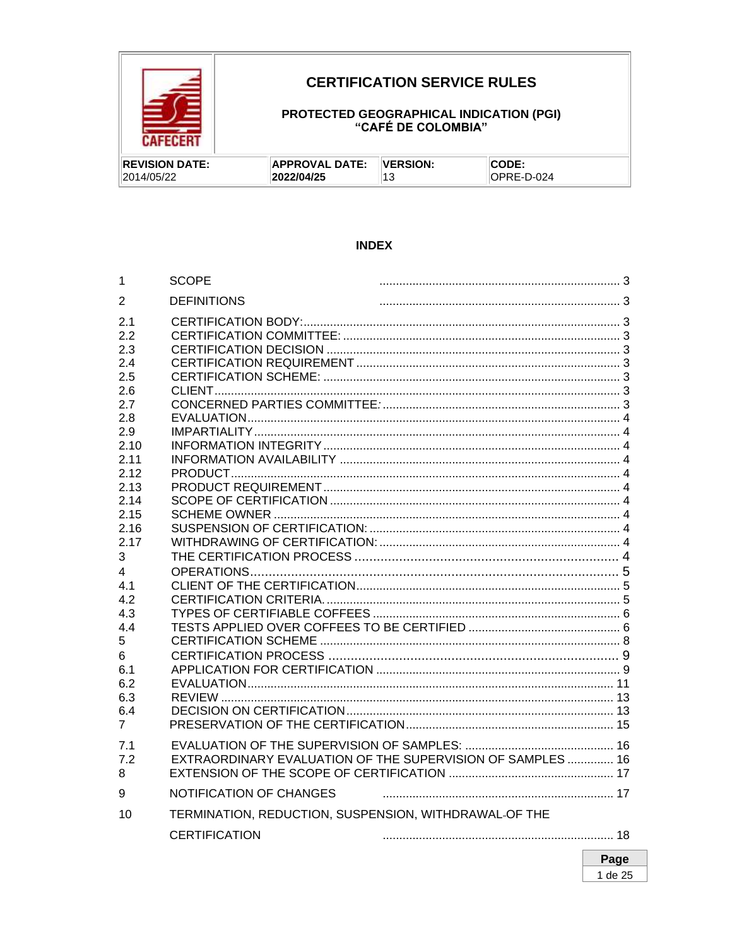

## **CERTIFICATION SERVICE RULES**

# PROTECTED GEOGRAPHICAL INDICATION (PGI)<br>"CAFÉ DE COLOMBIA"

| <b>IREVISION DATE:</b> | <b>APPROVAL DATE:</b> | <b>VERSION:</b> | CODE.      |
|------------------------|-----------------------|-----------------|------------|
| 2014/05/22             | 2022/04/25            |                 | OPRE-D-024 |

### **INDEX**

| 1              | <b>SCOPE</b>                                          |                                                            |  |
|----------------|-------------------------------------------------------|------------------------------------------------------------|--|
| 2              | <b>DEFINITIONS</b>                                    |                                                            |  |
| 2.1            |                                                       |                                                            |  |
| 2.2            |                                                       |                                                            |  |
| 2.3            |                                                       |                                                            |  |
| 2.4            |                                                       |                                                            |  |
| 2.5            |                                                       |                                                            |  |
| 2.6            |                                                       |                                                            |  |
| 2.7            |                                                       |                                                            |  |
| 2.8            |                                                       |                                                            |  |
| 2.9            |                                                       |                                                            |  |
| 2.10           |                                                       |                                                            |  |
| 2.11           |                                                       |                                                            |  |
| 2.12           |                                                       |                                                            |  |
| 2.13           |                                                       |                                                            |  |
| 2.14<br>2.15   |                                                       |                                                            |  |
| 2.16           |                                                       |                                                            |  |
| 2.17           |                                                       |                                                            |  |
| 3              |                                                       |                                                            |  |
| 4              |                                                       |                                                            |  |
| 4.1            |                                                       |                                                            |  |
| 4.2            |                                                       |                                                            |  |
| 4.3            |                                                       |                                                            |  |
| 4.4            |                                                       |                                                            |  |
| 5              |                                                       |                                                            |  |
| 6              |                                                       |                                                            |  |
| 6.1            |                                                       |                                                            |  |
| 6.2            |                                                       |                                                            |  |
| 6.3            |                                                       |                                                            |  |
| 6.4            |                                                       |                                                            |  |
| $\overline{7}$ |                                                       |                                                            |  |
| 7.1            |                                                       |                                                            |  |
| 7.2            |                                                       | EXTRAORDINARY EVALUATION OF THE SUPERVISION OF SAMPLES  16 |  |
| 8              |                                                       |                                                            |  |
|                |                                                       |                                                            |  |
| 9              | NOTIFICATION OF CHANGES                               |                                                            |  |
| 10             | TERMINATION, REDUCTION, SUSPENSION, WITHDRAWAL-OF THE |                                                            |  |
|                | <b>CERTIFICATION</b>                                  |                                                            |  |
|                |                                                       |                                                            |  |

Page 1 de 25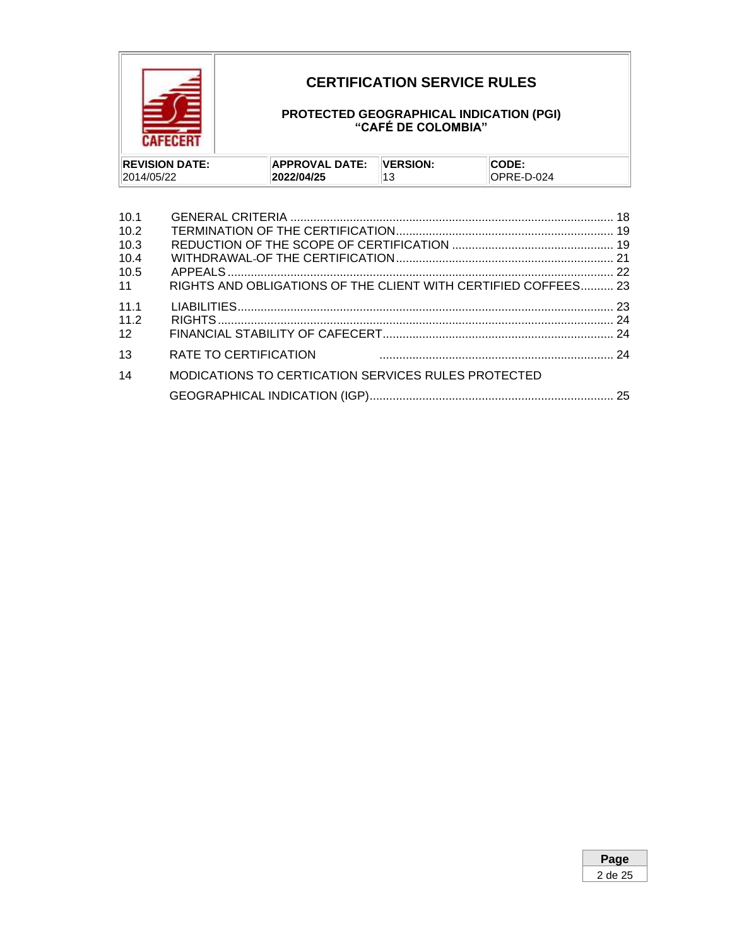

## **CERTIFICATION SERVICE RULES**

### **PROTECTED GEOGRAPHICAL INDICATION (PGI) "CAFÉ DE COLOMBIA"**

| <b>REVISION DATE:</b> | <b>APPROVAL DATE:</b> | <b>VERSION:</b> | CODE:       |
|-----------------------|-----------------------|-----------------|-------------|
| 2014/05/22            | 2022/04/25            |                 | IOPRE-D-024 |

| 10.1            |                                                                |  |
|-----------------|----------------------------------------------------------------|--|
| 10.2            |                                                                |  |
| 10.3            |                                                                |  |
| 10.4            |                                                                |  |
| 10.5            |                                                                |  |
| 11              | RIGHTS AND OBLIGATIONS OF THE CLIENT WITH CERTIFIED COFFEES 23 |  |
| 111             |                                                                |  |
| 11.2            |                                                                |  |
| 12 <sup>2</sup> |                                                                |  |
| 13              | RATE TO CERTIFICATION                                          |  |
| 14              | MODICATIONS TO CERTICATION SERVICES RULES PROTECTED            |  |
|                 |                                                                |  |

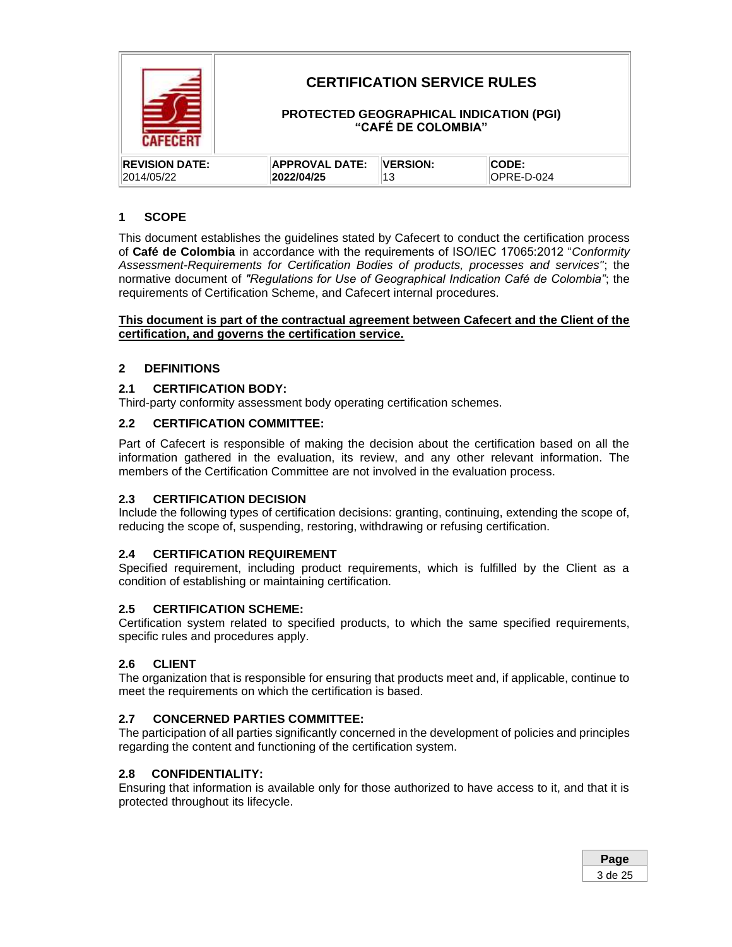

### <span id="page-2-0"></span>**1 SCOPE**

This document establishes the guidelines stated by Cafecert to conduct the certification process of **Café de Colombia** in accordance with the requirements of ISO/IEC 17065:2012 "*Conformity Assessment-Requirements for Certification Bodies of products, processes and services"*; the normative document of *"Regulations for Use of Geographical Indication Café de Colombia"*; the requirements of Certification Scheme, and Cafecert internal procedures.

**This document is part of the contractual agreement between Cafecert and the Client of the certification, and governs the certification service.**

### <span id="page-2-1"></span>**2 DEFINITIONS**

### <span id="page-2-2"></span>**2.1 CERTIFICATION BODY:**

Third-party conformity assessment body operating certification schemes.

### <span id="page-2-3"></span>**2.2 CERTIFICATION COMMITTEE:**

Part of Cafecert is responsible of making the decision about the certification based on all the information gathered in the evaluation, its review, and any other relevant information. The members of the Certification Committee are not involved in the evaluation process.

#### <span id="page-2-4"></span>**2.3 CERTIFICATION DECISION**

Include the following types of certification decisions: granting, continuing, extending the scope of, reducing the scope of, suspending, restoring, withdrawing or refusing certification.

### <span id="page-2-5"></span>**2.4 CERTIFICATION REQUIREMENT**

Specified requirement, including product requirements, which is fulfilled by the Client as a condition of establishing or maintaining certification.

#### <span id="page-2-6"></span>**2.5 CERTIFICATION SCHEME:**

Certification system related to specified products, to which the same specified requirements, specific rules and procedures apply.

#### <span id="page-2-7"></span>**2.6 CLIENT**

The organization that is responsible for ensuring that products meet and, if applicable, continue to meet the requirements on which the certification is based.

#### <span id="page-2-8"></span>**2.7 CONCERNED PARTIES COMMITTEE:**

The participation of all parties significantly concerned in the development of policies and principles regarding the content and functioning of the certification system.

#### **2.8 CONFIDENTIALITY:**

Ensuring that information is available only for those authorized to have access to it, and that it is protected throughout its lifecycle.

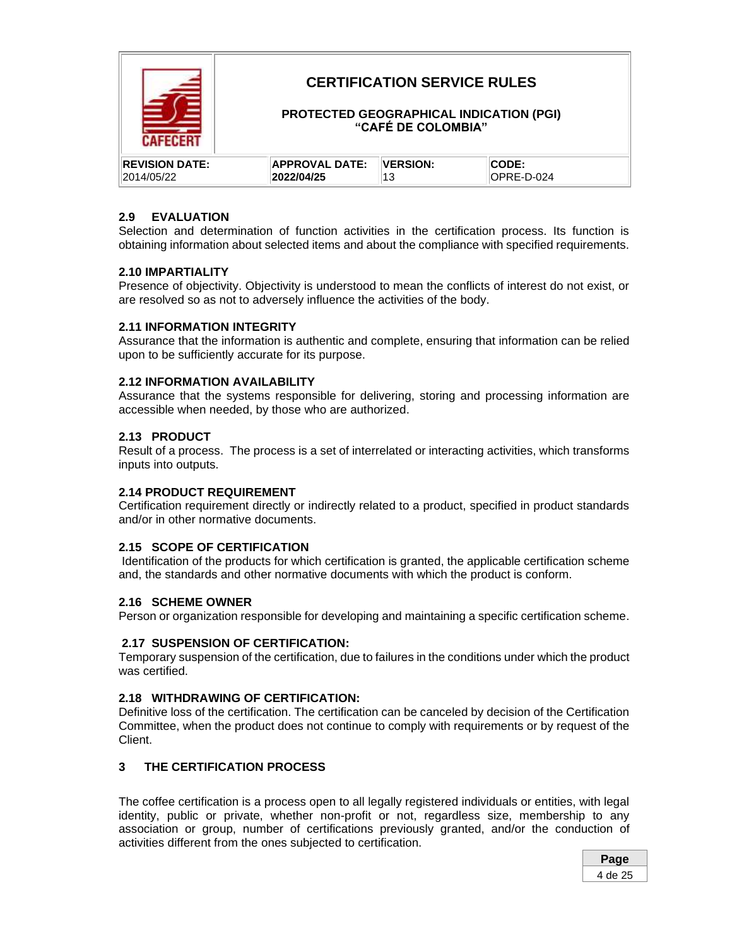

## **CERTIFICATION SERVICE RULES**

### **PROTECTED GEOGRAPHICAL INDICATION (PGI) "CAFÉ DE COLOMBIA"**

| <b>IREVISION DATE:</b> | APPROVAL DATE: | <b>VERSION:</b> | CODE       |
|------------------------|----------------|-----------------|------------|
| 2014/05/22             | 2022/04/25     |                 | OPRE-D-024 |

### <span id="page-3-0"></span>**2.9 EVALUATION**

Selection and determination of function activities in the certification process. Its function is obtaining information about selected items and about the compliance with specified requirements.

#### **2.10 IMPARTIALITY**

Presence of objectivity. Objectivity is understood to mean the conflicts of interest do not exist, or are resolved so as not to adversely influence the activities of the body.

#### <span id="page-3-1"></span>**2.11 INFORMATION INTEGRITY**

Assurance that the information is authentic and complete, ensuring that information can be relied upon to be sufficiently accurate for its purpose.

#### <span id="page-3-2"></span>**2.12 INFORMATION AVAILABILITY**

Assurance that the systems responsible for delivering, storing and processing information are accessible when needed, by those who are authorized.

### <span id="page-3-3"></span>**2.13 PRODUCT**

Result of a process. The process is a set of interrelated or interacting activities, which transforms inputs into outputs.

### <span id="page-3-4"></span>**2.14 PRODUCT REQUIREMENT**

Certification requirement directly or indirectly related to a product, specified in product standards and/or in other normative documents.

### <span id="page-3-5"></span>**2.15 SCOPE OF CERTIFICATION**

Identification of the products for which certification is granted, the applicable certification scheme and, the standards and other normative documents with which the product is conform.

#### <span id="page-3-6"></span>**2.16 SCHEME OWNER**

Person or organization responsible for developing and maintaining a specific certification scheme.

#### <span id="page-3-7"></span>**2.17 SUSPENSION OF CERTIFICATION:**

Temporary suspension of the certification, due to failures in the conditions under which the product was certified.

#### <span id="page-3-8"></span>**2.18 WITHDRAWING OF CERTIFICATION:**

Definitive loss of the certification. The certification can be canceled by decision of the Certification Committee, when the product does not continue to comply with requirements or by request of the Client.

### <span id="page-3-9"></span>**3 THE CERTIFICATION PROCESS**

The coffee certification is a process open to all legally registered individuals or entities, with legal identity, public or private, whether non-profit or not, regardless size, membership to any association or group, number of certifications previously granted, and/or the conduction of activities different from the ones subjected to certification.

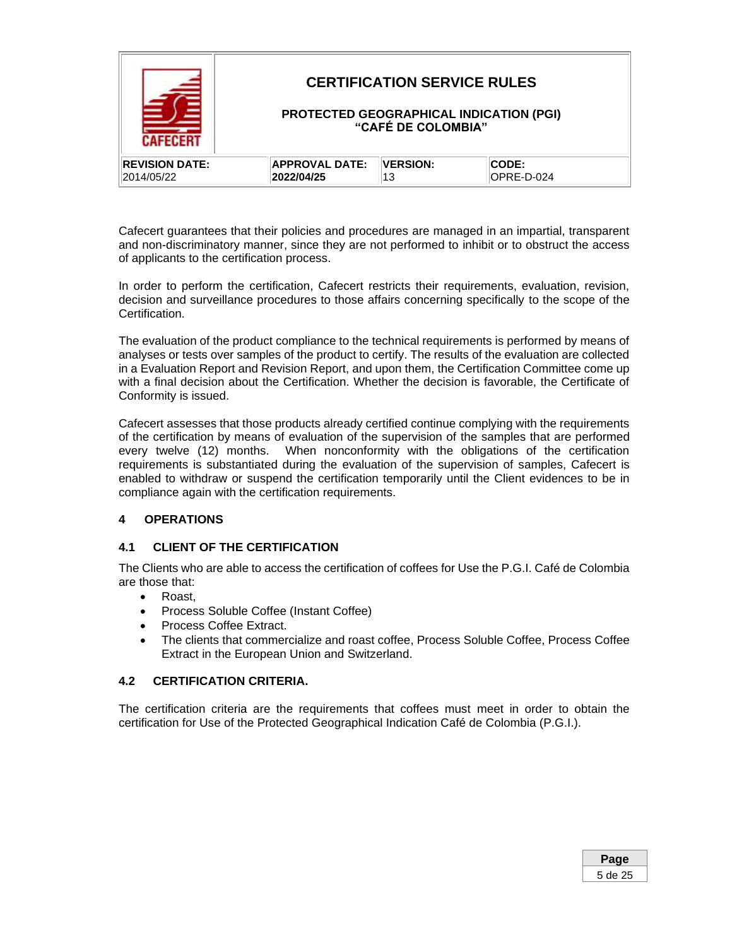|                       |                       | <b>CERTIFICATION SERVICE RULES</b><br>"CAFÉ DE COLOMBIA" | <b>PROTECTED GEOGRAPHICAL INDICATION (PGI)</b> |
|-----------------------|-----------------------|----------------------------------------------------------|------------------------------------------------|
| <b>REVISION DATE:</b> | <b>APPROVAL DATE:</b> | <b>VERSION:</b>                                          | CODE:                                          |
| 2014/05/22            | 2022/04/25            | 13                                                       | OPRE-D-024                                     |

Cafecert guarantees that their policies and procedures are managed in an impartial, transparent and non-discriminatory manner, since they are not performed to inhibit or to obstruct the access of applicants to the certification process.

In order to perform the certification, Cafecert restricts their requirements, evaluation, revision, decision and surveillance procedures to those affairs concerning specifically to the scope of the Certification.

The evaluation of the product compliance to the technical requirements is performed by means of analyses or tests over samples of the product to certify. The results of the evaluation are collected in a Evaluation Report and Revision Report, and upon them, the Certification Committee come up with a final decision about the Certification. Whether the decision is favorable, the Certificate of Conformity is issued.

Cafecert assesses that those products already certified continue complying with the requirements of the certification by means of evaluation of the supervision of the samples that are performed every twelve (12) months. When nonconformity with the obligations of the certification requirements is substantiated during the evaluation of the supervision of samples, Cafecert is enabled to withdraw or suspend the certification temporarily until the Client evidences to be in compliance again with the certification requirements.

### <span id="page-4-0"></span>**4 OPERATIONS**

### <span id="page-4-1"></span>**4.1 CLIENT OF THE CERTIFICATION**

The Clients who are able to access the certification of coffees for Use the P.G.I. Café de Colombia are those that:

- Roast,
- Process Soluble Coffee (Instant Coffee)
- Process Coffee Extract.
- The clients that commercialize and roast coffee, Process Soluble Coffee, Process Coffee Extract in the European Union and Switzerland.

#### <span id="page-4-2"></span>**4.2 CERTIFICATION CRITERIA.**

The certification criteria are the requirements that coffees must meet in order to obtain the certification for Use of the Protected Geographical Indication Café de Colombia (P.G.I.).

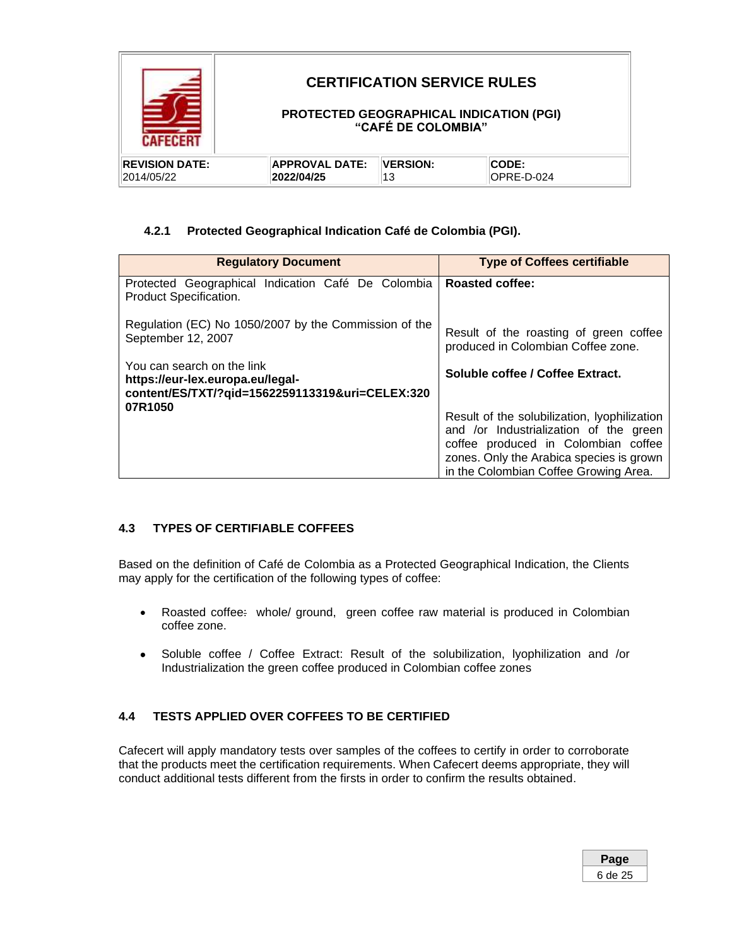

### **4.2.1 Protected Geographical Indication Café de Colombia (PGI).**

| <b>Regulatory Document</b>                                                                                        | <b>Type of Coffees certifiable</b>                                                                                                                                                                                 |
|-------------------------------------------------------------------------------------------------------------------|--------------------------------------------------------------------------------------------------------------------------------------------------------------------------------------------------------------------|
| Protected Geographical Indication Café De Colombia<br>Product Specification.                                      | <b>Roasted coffee:</b>                                                                                                                                                                                             |
| Regulation (EC) No 1050/2007 by the Commission of the<br>September 12, 2007                                       | Result of the roasting of green coffee<br>produced in Colombian Coffee zone.                                                                                                                                       |
| You can search on the link<br>https://eur-lex.europa.eu/legal-<br>content/ES/TXT/?gid=1562259113319&uri=CELEX:320 | Soluble coffee / Coffee Extract.                                                                                                                                                                                   |
| 07R1050                                                                                                           | Result of the solubilization, lyophilization<br>and /or Industrialization of the green<br>coffee produced in Colombian coffee<br>zones. Only the Arabica species is grown<br>in the Colombian Coffee Growing Area. |

### <span id="page-5-0"></span>**4.3 TYPES OF CERTIFIABLE COFFEES**

Based on the definition of Café de Colombia as a Protected Geographical Indication, the Clients may apply for the certification of the following types of coffee:

- Roasted coffee: whole/ ground, green coffee raw material is produced in Colombian coffee zone.
- Soluble coffee / Coffee Extract: Result of the solubilization, lyophilization and /or Industrialization the green coffee produced in Colombian coffee zones

### <span id="page-5-1"></span>**4.4 TESTS APPLIED OVER COFFEES TO BE CERTIFIED**

Cafecert will apply mandatory tests over samples of the coffees to certify in order to corroborate that the products meet the certification requirements. When Cafecert deems appropriate, they will conduct additional tests different from the firsts in order to confirm the results obtained.

| Раде    |  |
|---------|--|
| 6 de 25 |  |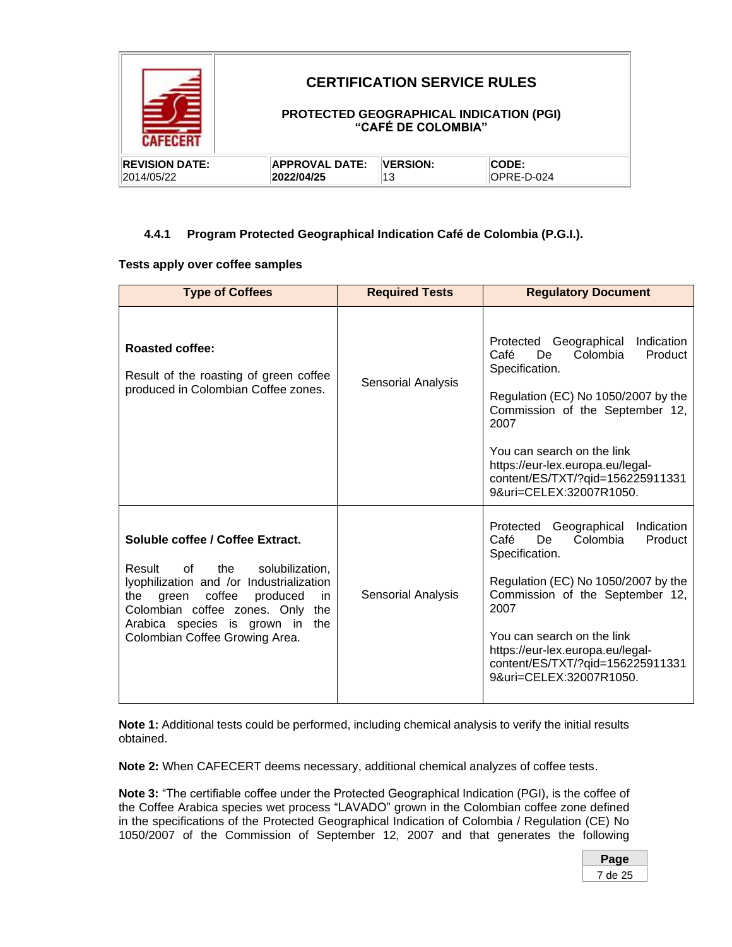|                       |                       | <b>CERTIFICATION SERVICE RULES</b><br><b>PROTECTED GEOGRAPHICAL INDICATION (PGI)</b><br>"CAFÉ DE COLOMBIA" |            |  |
|-----------------------|-----------------------|------------------------------------------------------------------------------------------------------------|------------|--|
| <b>REVISION DATE:</b> | <b>APPROVAL DATE:</b> | <b>VERSION:</b>                                                                                            | CODE:      |  |
| 2014/05/22            | 2022/04/25            | 13                                                                                                         | OPRE-D-024 |  |

### **4.4.1 Program Protected Geographical Indication Café de Colombia (P.G.I.).**

### **Tests apply over coffee samples**

| <b>Type of Coffees</b>                                                                                                                                                                                                                                                                                               | <b>Required Tests</b>     | <b>Regulatory Document</b>                                                                                                                                                                                                                                                                                         |
|----------------------------------------------------------------------------------------------------------------------------------------------------------------------------------------------------------------------------------------------------------------------------------------------------------------------|---------------------------|--------------------------------------------------------------------------------------------------------------------------------------------------------------------------------------------------------------------------------------------------------------------------------------------------------------------|
| <b>Roasted coffee:</b><br>Result of the roasting of green coffee<br>produced in Colombian Coffee zones.                                                                                                                                                                                                              | <b>Sensorial Analysis</b> | Geographical<br>Indication<br>Protected<br>Café<br>De.<br>Colombia<br>Product<br>Specification.<br>Regulation (EC) No 1050/2007 by the<br>Commission of the September 12,<br>2007<br>You can search on the link<br>https://eur-lex.europa.eu/legal-<br>content/ES/TXT/?qid=156225911331<br>9&uri=CELEX:32007R1050. |
| Soluble coffee / Coffee Extract.<br>Result<br>of compared to the original control.<br>the<br>solubilization,<br>lyophilization and /or Industrialization<br>coffee<br>produced<br>the<br>green<br>in.<br>Colombian coffee zones. Only<br>the<br>Arabica species is grown in<br>the<br>Colombian Coffee Growing Area. | <b>Sensorial Analysis</b> | Protected Geographical<br>Indication<br>Colombia<br>Product<br>Café<br>De<br>Specification.<br>Regulation (EC) No 1050/2007 by the<br>Commission of the September 12,<br>2007<br>You can search on the link<br>https://eur-lex.europa.eu/legal-<br>content/ES/TXT/?qid=156225911331<br>9&uri=CELEX:32007R1050.     |

**Note 1:** Additional tests could be performed, including chemical analysis to verify the initial results obtained.

**Note 2:** When CAFECERT deems necessary, additional chemical analyzes of coffee tests.

**Note 3:** "The certifiable coffee under the Protected Geographical Indication (PGI), is the coffee of the Coffee Arabica species wet process "LAVADO" grown in the Colombian coffee zone defined in the specifications of the Protected Geographical Indication of Colombia / Regulation (CE) No 1050/2007 of the Commission of September 12, 2007 and that generates the following

| Page       |  |
|------------|--|
| de 25<br>7 |  |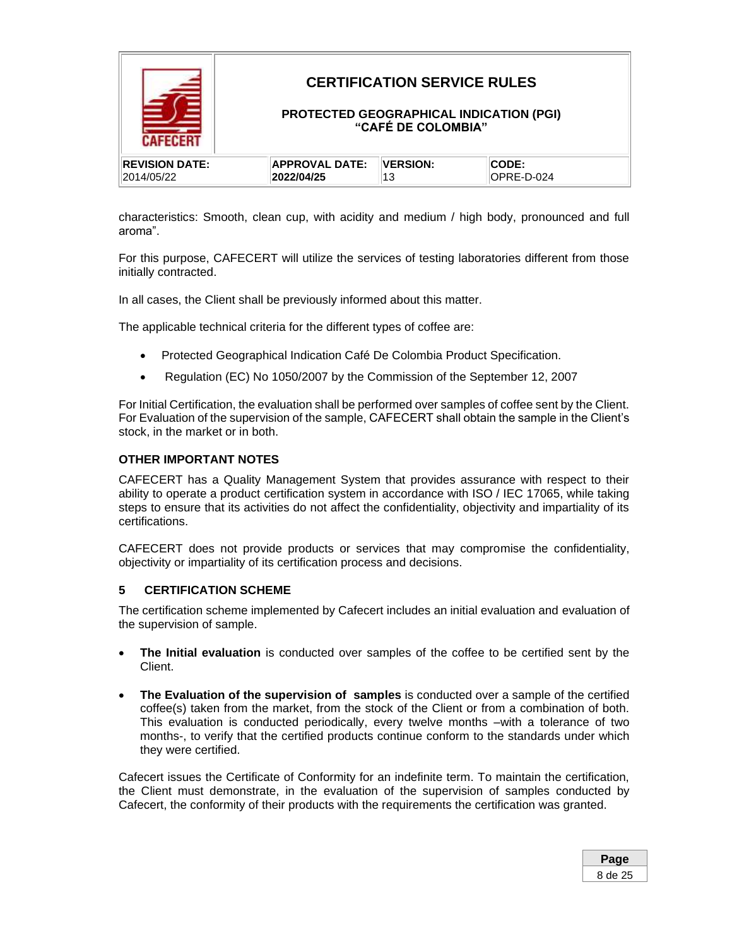

characteristics: Smooth, clean cup, with acidity and medium / high body, pronounced and full aroma".

For this purpose, CAFECERT will utilize the services of testing laboratories different from those initially contracted.

In all cases, the Client shall be previously informed about this matter.

The applicable technical criteria for the different types of coffee are:

- Protected Geographical Indication Café De Colombia Product Specification.
- Regulation (EC) No 1050/2007 by the Commission of the September 12, 2007

For Initial Certification, the evaluation shall be performed over samples of coffee sent by the Client. For Evaluation of the supervision of the sample, CAFECERT shall obtain the sample in the Client's stock, in the market or in both.

#### **OTHER IMPORTANT NOTES**

CAFECERT has a Quality Management System that provides assurance with respect to their ability to operate a product certification system in accordance with ISO / IEC 17065, while taking steps to ensure that its activities do not affect the confidentiality, objectivity and impartiality of its certifications.

CAFECERT does not provide products or services that may compromise the confidentiality, objectivity or impartiality of its certification process and decisions.

#### <span id="page-7-0"></span>**5 CERTIFICATION SCHEME**

The certification scheme implemented by Cafecert includes an initial evaluation and evaluation of the supervision of sample.

- **The Initial evaluation** is conducted over samples of the coffee to be certified sent by the Client.
- **The Evaluation of the supervision of samples** is conducted over a sample of the certified coffee(s) taken from the market, from the stock of the Client or from a combination of both. This evaluation is conducted periodically, every twelve months –with a tolerance of two months-, to verify that the certified products continue conform to the standards under which they were certified.

Cafecert issues the Certificate of Conformity for an indefinite term. To maintain the certification, the Client must demonstrate, in the evaluation of the supervision of samples conducted by Cafecert, the conformity of their products with the requirements the certification was granted.

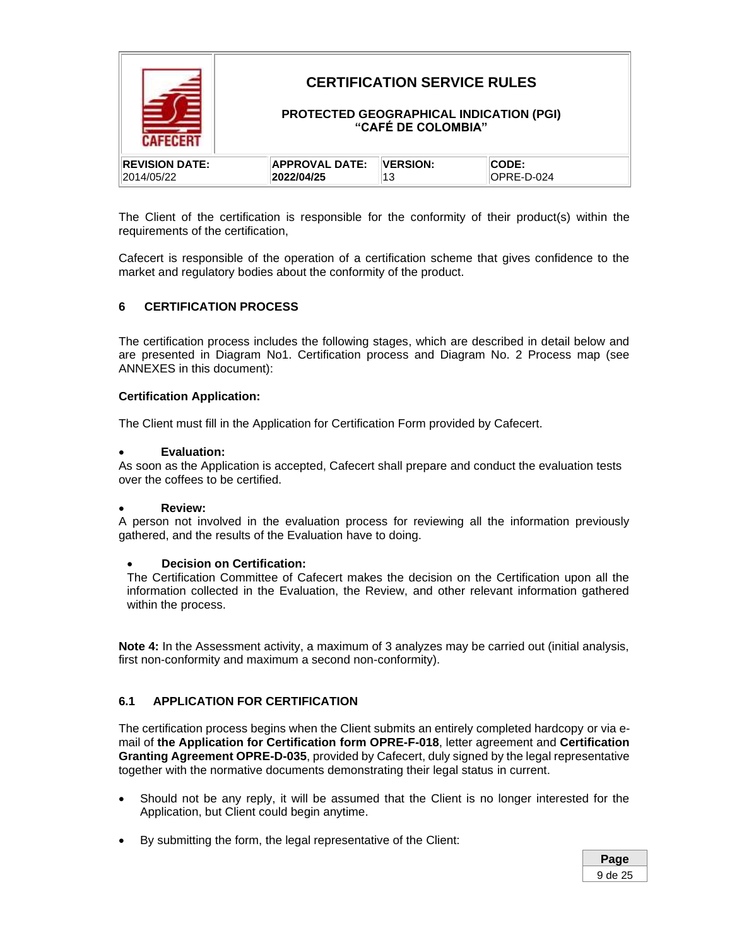

The Client of the certification is responsible for the conformity of their product(s) within the requirements of the certification,

Cafecert is responsible of the operation of a certification scheme that gives confidence to the market and regulatory bodies about the conformity of the product.

### <span id="page-8-0"></span>**6 CERTIFICATION PROCESS**

The certification process includes the following stages, which are described in detail below and are presented in Diagram No1. Certification process and Diagram No. 2 Process map (see ANNEXES in this document):

#### **Certification Application:**

The Client must fill in the Application for Certification Form provided by Cafecert.

#### • **Evaluation:**

As soon as the Application is accepted, Cafecert shall prepare and conduct the evaluation tests over the coffees to be certified.

#### • **Review:**

A person not involved in the evaluation process for reviewing all the information previously gathered, and the results of the Evaluation have to doing.

#### • **Decision on Certification:**

The Certification Committee of Cafecert makes the decision on the Certification upon all the information collected in the Evaluation, the Review, and other relevant information gathered within the process.

**Note 4:** In the Assessment activity, a maximum of 3 analyzes may be carried out (initial analysis, first non-conformity and maximum a second non-conformity).

#### <span id="page-8-1"></span>**6.1 APPLICATION FOR CERTIFICATION**

The certification process begins when the Client submits an entirely completed hardcopy or via email of **the Application for Certification form OPRE-F-018**, letter agreement and **Certification Granting Agreement OPRE-D-035**, provided by Cafecert, duly signed by the legal representative together with the normative documents demonstrating their legal status in current.

- Should not be any reply, it will be assumed that the Client is no longer interested for the Application, but Client could begin anytime.
- By submitting the form, the legal representative of the Client: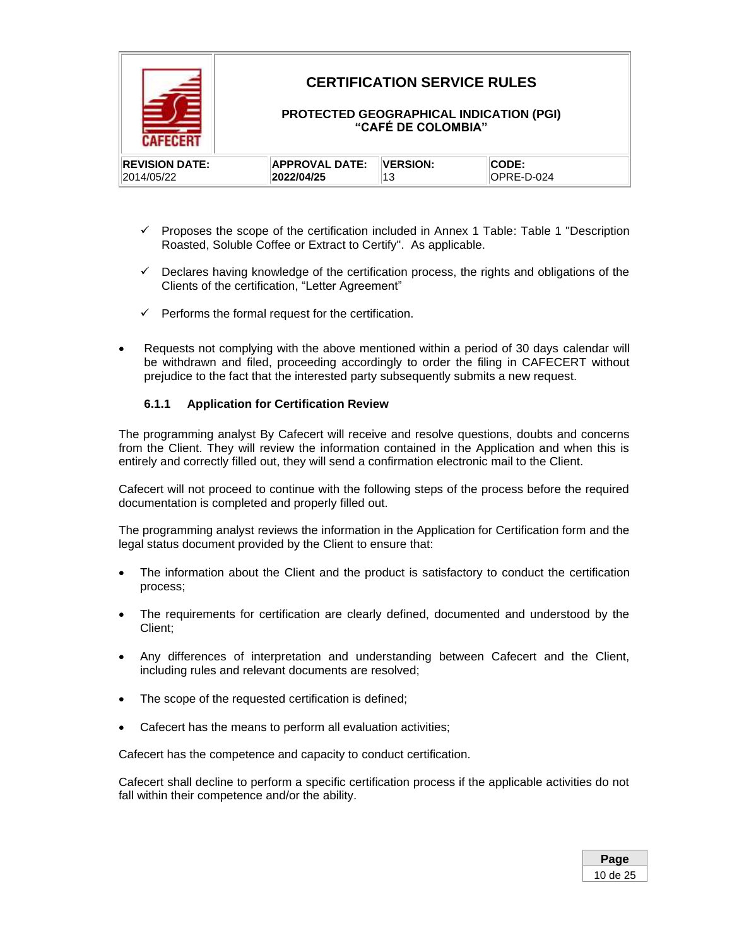

- ✓ Proposes the scope of the certification included in Annex 1 Table: Table 1 "Description Roasted, Soluble Coffee or Extract to Certify". As applicable.
- $\checkmark$  Declares having knowledge of the certification process, the rights and obligations of the Clients of the certification, "Letter Agreement"
- $\checkmark$  Performs the formal request for the certification.
- Requests not complying with the above mentioned within a period of 30 days calendar will be withdrawn and filed, proceeding accordingly to order the filing in CAFECERT without prejudice to the fact that the interested party subsequently submits a new request.

### **6.1.1 Application for Certification Review**

The programming analyst By Cafecert will receive and resolve questions, doubts and concerns from the Client. They will review the information contained in the Application and when this is entirely and correctly filled out, they will send a confirmation electronic mail to the Client.

Cafecert will not proceed to continue with the following steps of the process before the required documentation is completed and properly filled out.

The programming analyst reviews the information in the Application for Certification form and the legal status document provided by the Client to ensure that:

- The information about the Client and the product is satisfactory to conduct the certification process;
- The requirements for certification are clearly defined, documented and understood by the Client;
- Any differences of interpretation and understanding between Cafecert and the Client, including rules and relevant documents are resolved;
- The scope of the requested certification is defined;
- Cafecert has the means to perform all evaluation activities;

Cafecert has the competence and capacity to conduct certification.

Cafecert shall decline to perform a specific certification process if the applicable activities do not fall within their competence and/or the ability.

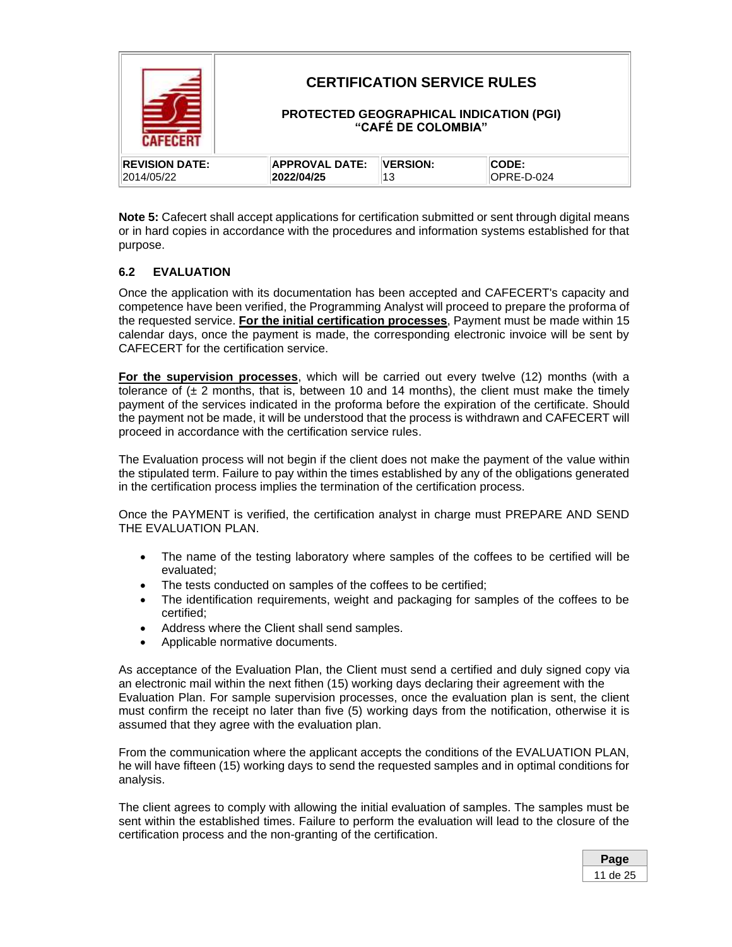|                       |                       | <b>CERTIFICATION SERVICE RULES</b><br>PROTECTED GEOGRAPHICAL INDICATION (PGI)<br>"CAFÉ DE COLOMBIA" |            |
|-----------------------|-----------------------|-----------------------------------------------------------------------------------------------------|------------|
| <b>REVISION DATE:</b> | <b>APPROVAL DATE:</b> | <b>VERSION:</b>                                                                                     | CODE:      |
| 2014/05/22            | 2022/04/25            | 13                                                                                                  | OPRE-D-024 |

**Note 5:** Cafecert shall accept applications for certification submitted or sent through digital means or in hard copies in accordance with the procedures and information systems established for that purpose.

### <span id="page-10-0"></span>**6.2 EVALUATION**

Once the application with its documentation has been accepted and CAFECERT's capacity and competence have been verified, the Programming Analyst will proceed to prepare the proforma of the requested service. **For the initial certification processes**, Payment must be made within 15 calendar days, once the payment is made, the corresponding electronic invoice will be sent by CAFECERT for the certification service.

**For the supervision processes**, which will be carried out every twelve (12) months (with a tolerance of  $(\pm 2 \text{ months}, \text{that is}, \text{between 10 and 14 months}, \text{the client must make the timely})$ payment of the services indicated in the proforma before the expiration of the certificate. Should the payment not be made, it will be understood that the process is withdrawn and CAFECERT will proceed in accordance with the certification service rules.

The Evaluation process will not begin if the client does not make the payment of the value within the stipulated term. Failure to pay within the times established by any of the obligations generated in the certification process implies the termination of the certification process.

Once the PAYMENT is verified, the certification analyst in charge must PREPARE AND SEND THE EVALUATION PLAN.

- The name of the testing laboratory where samples of the coffees to be certified will be evaluated;
- The tests conducted on samples of the coffees to be certified;
- The identification requirements, weight and packaging for samples of the coffees to be certified;
- Address where the Client shall send samples.
- Applicable normative documents.

As acceptance of the Evaluation Plan, the Client must send a certified and duly signed copy via an electronic mail within the next fithen (15) working days declaring their agreement with the Evaluation Plan. For sample supervision processes, once the evaluation plan is sent, the client must confirm the receipt no later than five (5) working days from the notification, otherwise it is assumed that they agree with the evaluation plan.

From the communication where the applicant accepts the conditions of the EVALUATION PLAN, he will have fifteen (15) working days to send the requested samples and in optimal conditions for analysis.

The client agrees to comply with allowing the initial evaluation of samples. The samples must be sent within the established times. Failure to perform the evaluation will lead to the closure of the certification process and the non-granting of the certification.

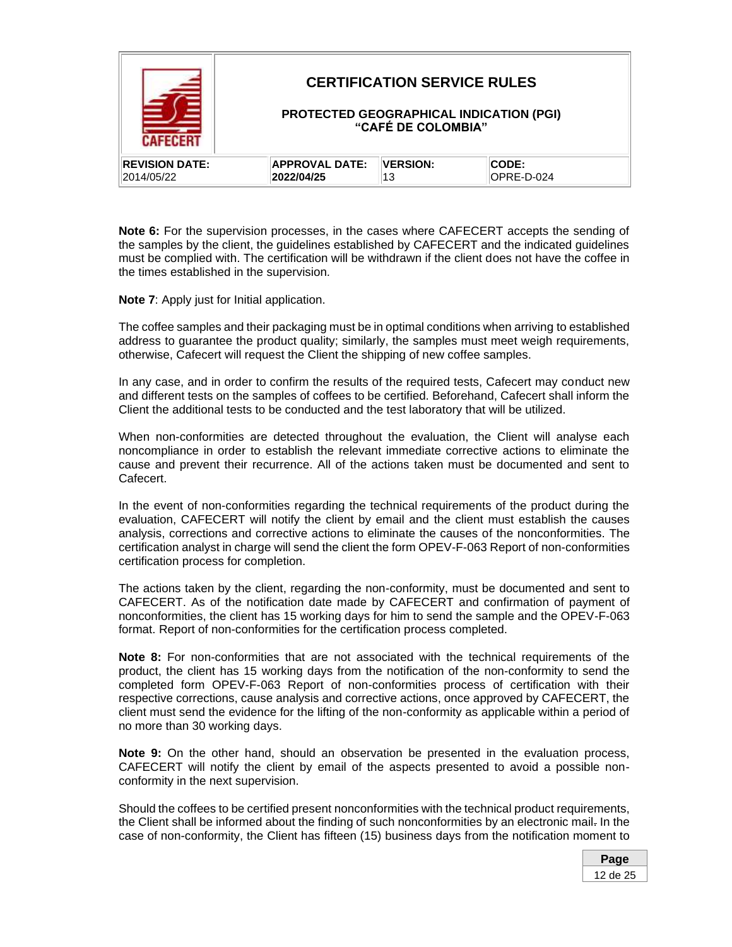|                       |                       | <b>CERTIFICATION SERVICE RULES</b><br>"CAFÉ DE COLOMBIA" | <b>PROTECTED GEOGRAPHICAL INDICATION (PGI)</b> |
|-----------------------|-----------------------|----------------------------------------------------------|------------------------------------------------|
| <b>REVISION DATE:</b> | <b>APPROVAL DATE:</b> | <b>VERSION:</b>                                          | CODE:                                          |
| 2014/05/22            | 2022/04/25            |                                                          | OPRE-D-024                                     |

**Note 6:** For the supervision processes, in the cases where CAFECERT accepts the sending of the samples by the client, the guidelines established by CAFECERT and the indicated guidelines must be complied with. The certification will be withdrawn if the client does not have the coffee in the times established in the supervision*.*

**Note 7**: Apply just for Initial application.

The coffee samples and their packaging must be in optimal conditions when arriving to established address to guarantee the product quality; similarly, the samples must meet weigh requirements, otherwise, Cafecert will request the Client the shipping of new coffee samples.

In any case, and in order to confirm the results of the required tests, Cafecert may conduct new and different tests on the samples of coffees to be certified. Beforehand, Cafecert shall inform the Client the additional tests to be conducted and the test laboratory that will be utilized.

When non-conformities are detected throughout the evaluation, the Client will analyse each noncompliance in order to establish the relevant immediate corrective actions to eliminate the cause and prevent their recurrence. All of the actions taken must be documented and sent to Cafecert.

In the event of non-conformities regarding the technical requirements of the product during the evaluation, CAFECERT will notify the client by email and the client must establish the causes analysis, corrections and corrective actions to eliminate the causes of the nonconformities. The certification analyst in charge will send the client the form OPEV-F-063 Report of non-conformities certification process for completion.

The actions taken by the client, regarding the non-conformity, must be documented and sent to CAFECERT. As of the notification date made by CAFECERT and confirmation of payment of nonconformities, the client has 15 working days for him to send the sample and the OPEV-F-063 format. Report of non-conformities for the certification process completed.

**Note 8:** For non-conformities that are not associated with the technical requirements of the product, the client has 15 working days from the notification of the non-conformity to send the completed form OPEV-F-063 Report of non-conformities process of certification with their respective corrections, cause analysis and corrective actions, once approved by CAFECERT, the client must send the evidence for the lifting of the non-conformity as applicable within a period of no more than 30 working days.

**Note 9:** On the other hand, should an observation be presented in the evaluation process, CAFECERT will notify the client by email of the aspects presented to avoid a possible nonconformity in the next supervision.

Should the coffees to be certified present nonconformities with the technical product requirements, the Client shall be informed about the finding of such nonconformities by an electronic mail. In the case of non-conformity, the Client has fifteen (15) business days from the notification moment to

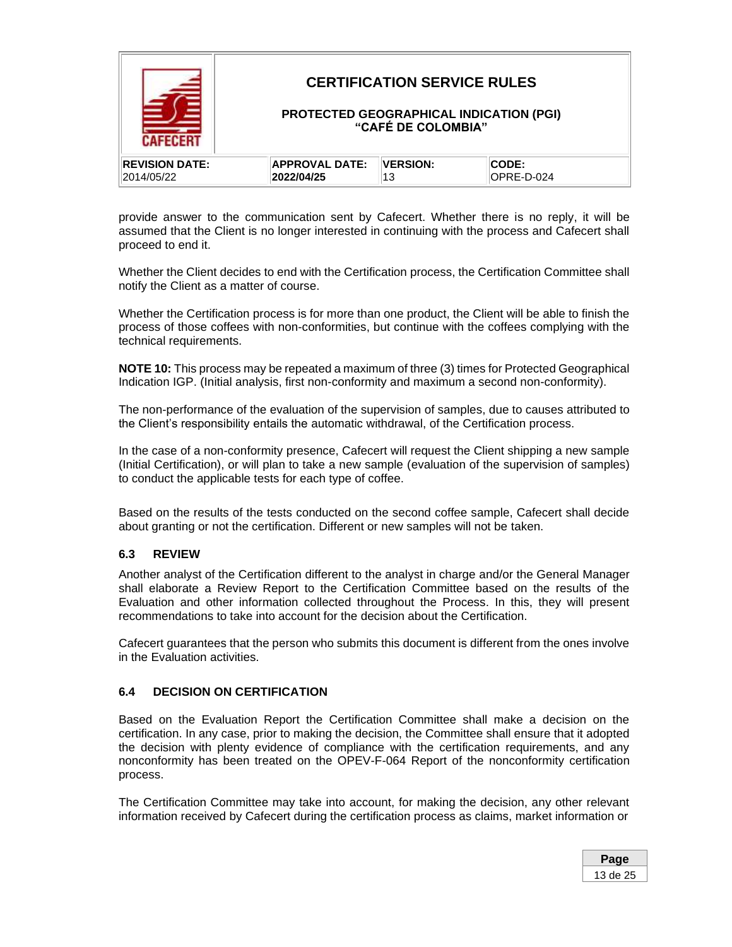

provide answer to the communication sent by Cafecert. Whether there is no reply, it will be assumed that the Client is no longer interested in continuing with the process and Cafecert shall proceed to end it.

Whether the Client decides to end with the Certification process, the Certification Committee shall notify the Client as a matter of course.

Whether the Certification process is for more than one product, the Client will be able to finish the process of those coffees with non-conformities, but continue with the coffees complying with the technical requirements.

**NOTE 10:** This process may be repeated a maximum of three (3) times for Protected Geographical Indication IGP. (Initial analysis, first non-conformity and maximum a second non-conformity).

The non-performance of the evaluation of the supervision of samples, due to causes attributed to the Client's responsibility entails the automatic withdrawal, of the Certification process.

In the case of a non-conformity presence, Cafecert will request the Client shipping a new sample (Initial Certification), or will plan to take a new sample (evaluation of the supervision of samples) to conduct the applicable tests for each type of coffee.

Based on the results of the tests conducted on the second coffee sample, Cafecert shall decide about granting or not the certification. Different or new samples will not be taken.

#### <span id="page-12-0"></span>**6.3 REVIEW**

Another analyst of the Certification different to the analyst in charge and/or the General Manager shall elaborate a Review Report to the Certification Committee based on the results of the Evaluation and other information collected throughout the Process. In this, they will present recommendations to take into account for the decision about the Certification.

Cafecert guarantees that the person who submits this document is different from the ones involve in the Evaluation activities.

#### <span id="page-12-1"></span>**6.4 DECISION ON CERTIFICATION**

Based on the Evaluation Report the Certification Committee shall make a decision on the certification. In any case, prior to making the decision, the Committee shall ensure that it adopted the decision with plenty evidence of compliance with the certification requirements, and any nonconformity has been treated on the OPEV-F-064 Report of the nonconformity certification process.

The Certification Committee may take into account, for making the decision, any other relevant information received by Cafecert during the certification process as claims, market information or

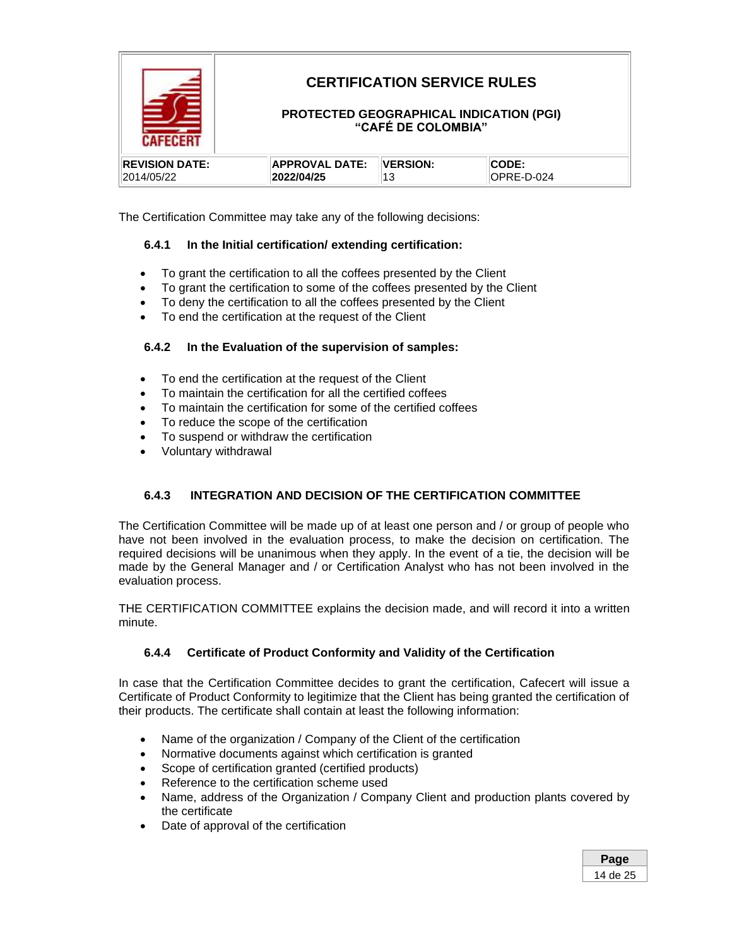

The Certification Committee may take any of the following decisions:

### **6.4.1 In the Initial certification/ extending certification:**

- To grant the certification to all the coffees presented by the Client
- To grant the certification to some of the coffees presented by the Client
- To deny the certification to all the coffees presented by the Client
- To end the certification at the request of the Client

### **6.4.2 In the Evaluation of the supervision of samples:**

- To end the certification at the request of the Client
- To maintain the certification for all the certified coffees
- To maintain the certification for some of the certified coffees
- To reduce the scope of the certification
- To suspend or withdraw the certification
- Voluntary withdrawal

### **6.4.3 INTEGRATION AND DECISION OF THE CERTIFICATION COMMITTEE**

The Certification Committee will be made up of at least one person and / or group of people who have not been involved in the evaluation process, to make the decision on certification. The required decisions will be unanimous when they apply. In the event of a tie, the decision will be made by the General Manager and / or Certification Analyst who has not been involved in the evaluation process.

THE CERTIFICATION COMMITTEE explains the decision made, and will record it into a written minute.

### **6.4.4 Certificate of Product Conformity and Validity of the Certification**

In case that the Certification Committee decides to grant the certification, Cafecert will issue a Certificate of Product Conformity to legitimize that the Client has being granted the certification of their products. The certificate shall contain at least the following information:

- Name of the organization / Company of the Client of the certification
- Normative documents against which certification is granted
- Scope of certification granted (certified products)
- Reference to the certification scheme used
- Name, address of the Organization / Company Client and production plants covered by the certificate
- Date of approval of the certification

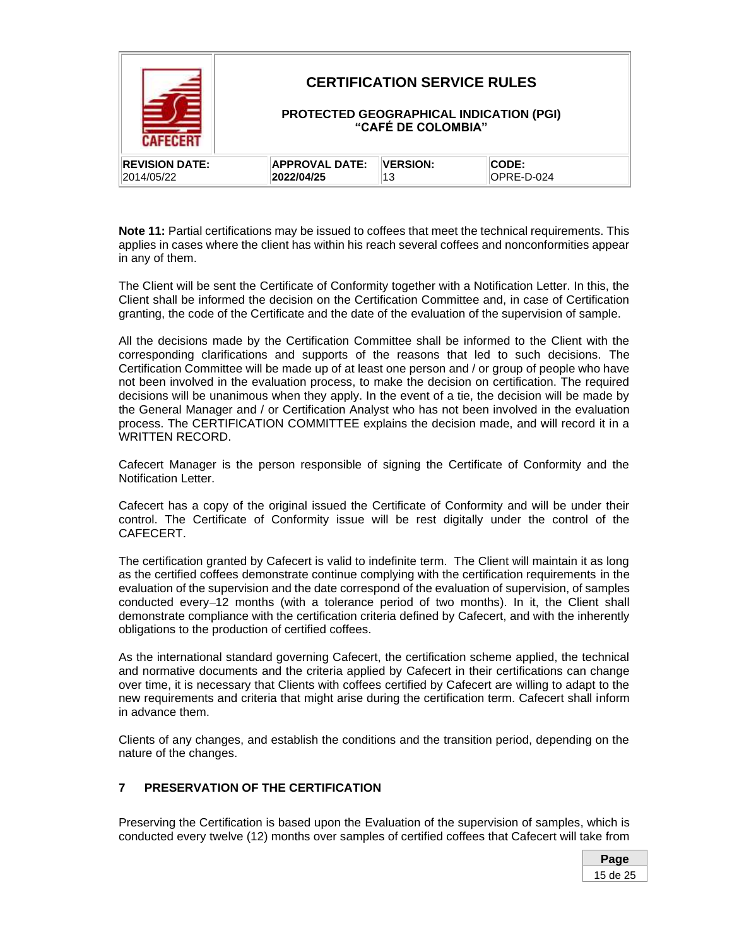| NSSNSR                |                       | <b>CERTIFICATION SERVICE RULES</b><br>"CAFÉ DE COLOMBIA" | <b>PROTECTED GEOGRAPHICAL INDICATION (PGI)</b> |
|-----------------------|-----------------------|----------------------------------------------------------|------------------------------------------------|
| <b>REVISION DATE:</b> | <b>APPROVAL DATE:</b> | <b>VERSION:</b>                                          | CODE:                                          |
| 2014/05/22            | 2022/04/25            | 13                                                       | OPRE-D-024                                     |

**Note 11:** Partial certifications may be issued to coffees that meet the technical requirements. This applies in cases where the client has within his reach several coffees and nonconformities appear in any of them.

The Client will be sent the Certificate of Conformity together with a Notification Letter. In this, the Client shall be informed the decision on the Certification Committee and, in case of Certification granting, the code of the Certificate and the date of the evaluation of the supervision of sample.

All the decisions made by the Certification Committee shall be informed to the Client with the corresponding clarifications and supports of the reasons that led to such decisions. The Certification Committee will be made up of at least one person and / or group of people who have not been involved in the evaluation process, to make the decision on certification. The required decisions will be unanimous when they apply. In the event of a tie, the decision will be made by the General Manager and / or Certification Analyst who has not been involved in the evaluation process. The CERTIFICATION COMMITTEE explains the decision made, and will record it in a WRITTEN RECORD.

Cafecert Manager is the person responsible of signing the Certificate of Conformity and the Notification Letter.

Cafecert has a copy of the original issued the Certificate of Conformity and will be under their control. The Certificate of Conformity issue will be rest digitally under the control of the CAFECERT.

The certification granted by Cafecert is valid to indefinite term. The Client will maintain it as long as the certified coffees demonstrate continue complying with the certification requirements in the evaluation of the supervision and the date correspond of the evaluation of supervision, of samples conducted every–12 months (with a tolerance period of two months). In it, the Client shall demonstrate compliance with the certification criteria defined by Cafecert, and with the inherently obligations to the production of certified coffees.

As the international standard governing Cafecert, the certification scheme applied, the technical and normative documents and the criteria applied by Cafecert in their certifications can change over time, it is necessary that Clients with coffees certified by Cafecert are willing to adapt to the new requirements and criteria that might arise during the certification term. Cafecert shall inform in advance them.

Clients of any changes, and establish the conditions and the transition period, depending on the nature of the changes.

### <span id="page-14-0"></span>**7 PRESERVATION OF THE CERTIFICATION**

Preserving the Certification is based upon the Evaluation of the supervision of samples, which is conducted every twelve (12) months over samples of certified coffees that Cafecert will take from

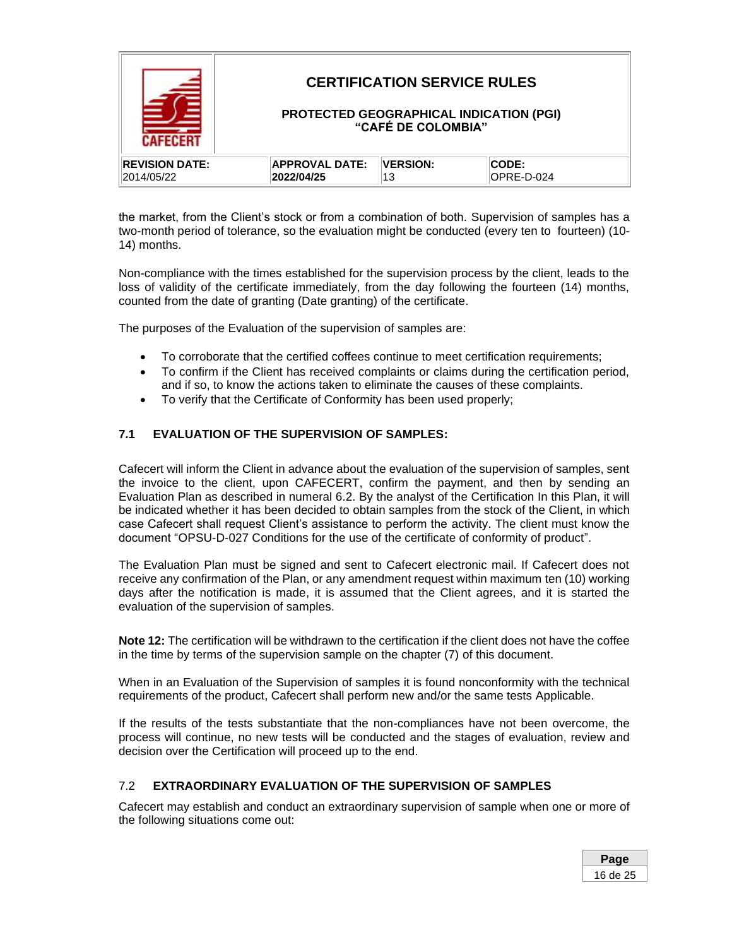|                       |                       | <b>CERTIFICATION SERVICE RULES</b><br>"CAFÉ DE COLOMBIA" | PROTECTED GEOGRAPHICAL INDICATION (PGI) |  |
|-----------------------|-----------------------|----------------------------------------------------------|-----------------------------------------|--|
| <b>REVISION DATE:</b> | <b>APPROVAL DATE:</b> | <b>VERSION:</b>                                          | <b>CODE:</b>                            |  |
| 2014/05/22            | 2022/04/25            | 13                                                       | OPRE-D-024                              |  |

the market, from the Client's stock or from a combination of both. Supervision of samples has a two-month period of tolerance, so the evaluation might be conducted (every ten to fourteen) (10- 14) months.

Non-compliance with the times established for the supervision process by the client, leads to the loss of validity of the certificate immediately, from the day following the fourteen (14) months, counted from the date of granting (Date granting) of the certificate.

The purposes of the Evaluation of the supervision of samples are:

- To corroborate that the certified coffees continue to meet certification requirements;
- To confirm if the Client has received complaints or claims during the certification period, and if so, to know the actions taken to eliminate the causes of these complaints.
- <span id="page-15-0"></span>• To verify that the Certificate of Conformity has been used properly;

### **7.1 EVALUATION OF THE SUPERVISION OF SAMPLES:**

Cafecert will inform the Client in advance about the evaluation of the supervision of samples, sent the invoice to the client, upon CAFECERT, confirm the payment, and then by sending an Evaluation Plan as described in numeral 6.2. By the analyst of the Certification In this Plan, it will be indicated whether it has been decided to obtain samples from the stock of the Client, in which case Cafecert shall request Client's assistance to perform the activity. The client must know the document "OPSU-D-027 Conditions for the use of the certificate of conformity of product".

The Evaluation Plan must be signed and sent to Cafecert electronic mail. If Cafecert does not receive any confirmation of the Plan, or any amendment request within maximum ten (10) working days after the notification is made, it is assumed that the Client agrees, and it is started the evaluation of the supervision of samples.

**Note 12:** The certification will be withdrawn to the certification if the client does not have the coffee in the time by terms of the supervision sample on the chapter (7) of this document.

When in an Evaluation of the Supervision of samples it is found nonconformity with the technical requirements of the product, Cafecert shall perform new and/or the same tests Applicable.

If the results of the tests substantiate that the non-compliances have not been overcome, the process will continue, no new tests will be conducted and the stages of evaluation, review and decision over the Certification will proceed up to the end.

### <span id="page-15-1"></span>7.2 **EXTRAORDINARY EVALUATION OF THE SUPERVISION OF SAMPLES**

Cafecert may establish and conduct an extraordinary supervision of sample when one or more of the following situations come out:

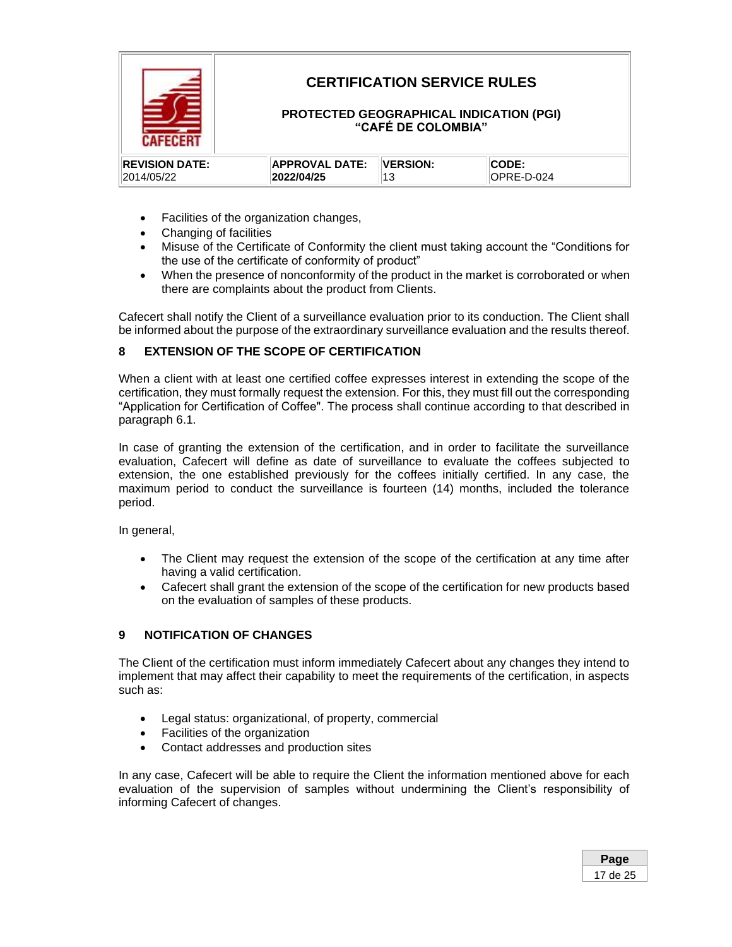

## **CERTIFICATION SERVICE RULES**

### **PROTECTED GEOGRAPHICAL INDICATION (PGI) "CAFÉ DE COLOMBIA"**

| <b>IREVISION DATE:</b> | <b>APPROVAL DATE:</b> | <b>IVERSION:</b> | <b>CODE:</b>      |
|------------------------|-----------------------|------------------|-------------------|
| 2014/05/22             | 2022/04/25            |                  | <b>OPRE-D-024</b> |

- Facilities of the organization changes,
- Changing of facilities
- Misuse of the Certificate of Conformity the client must taking account the "Conditions for the use of the certificate of conformity of product"
- When the presence of nonconformity of the product in the market is corroborated or when there are complaints about the product from Clients.

Cafecert shall notify the Client of a surveillance evaluation prior to its conduction. The Client shall be informed about the purpose of the extraordinary surveillance evaluation and the results thereof.

### <span id="page-16-0"></span>**8 EXTENSION OF THE SCOPE OF CERTIFICATION**

When a client with at least one certified coffee expresses interest in extending the scope of the certification, they must formally request the extension. For this, they must fill out the corresponding "Application for Certification of Coffee". The process shall continue according to that described in paragraph 6.1.

In case of granting the extension of the certification, and in order to facilitate the surveillance evaluation, Cafecert will define as date of surveillance to evaluate the coffees subjected to extension, the one established previously for the coffees initially certified. In any case, the maximum period to conduct the surveillance is fourteen (14) months, included the tolerance period.

In general,

- The Client may request the extension of the scope of the certification at any time after having a valid certification.
- Cafecert shall grant the extension of the scope of the certification for new products based on the evaluation of samples of these products.

### <span id="page-16-1"></span>**9 NOTIFICATION OF CHANGES**

The Client of the certification must inform immediately Cafecert about any changes they intend to implement that may affect their capability to meet the requirements of the certification, in aspects such as:

- Legal status: organizational, of property, commercial
- Facilities of the organization
- Contact addresses and production sites

In any case, Cafecert will be able to require the Client the information mentioned above for each evaluation of the supervision of samples without undermining the Client's responsibility of informing Cafecert of changes.

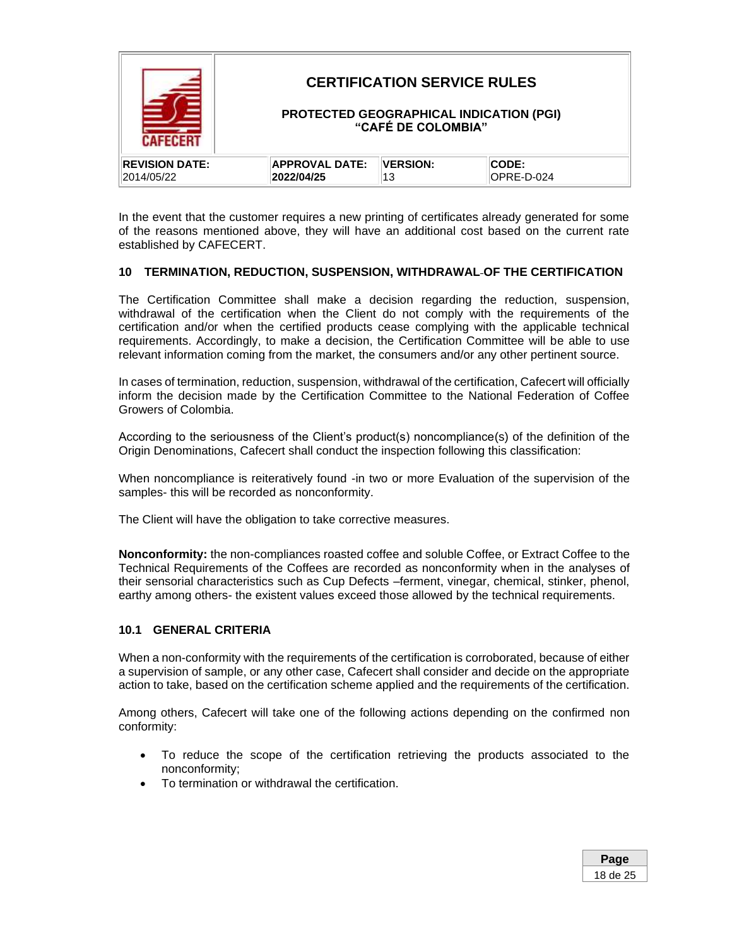|                       |                       | <b>CERTIFICATION SERVICE RULES</b><br>"CAFÉ DE COLOMBIA" | PROTECTED GEOGRAPHICAL INDICATION (PGI) |
|-----------------------|-----------------------|----------------------------------------------------------|-----------------------------------------|
| <b>REVISION DATE:</b> | <b>APPROVAL DATE:</b> | <b>VERSION:</b>                                          | CODE:                                   |
| 2014/05/22            | 2022/04/25            | 13                                                       | OPRE-D-024                              |

In the event that the customer requires a new printing of certificates already generated for some of the reasons mentioned above, they will have an additional cost based on the current rate established by CAFECERT.

### <span id="page-17-0"></span>**10 TERMINATION, REDUCTION, SUSPENSION, WITHDRAWAL OF THE CERTIFICATION**

The Certification Committee shall make a decision regarding the reduction, suspension, withdrawal of the certification when the Client do not comply with the requirements of the certification and/or when the certified products cease complying with the applicable technical requirements. Accordingly, to make a decision, the Certification Committee will be able to use relevant information coming from the market, the consumers and/or any other pertinent source.

In cases of termination, reduction, suspension, withdrawal of the certification, Cafecert will officially inform the decision made by the Certification Committee to the National Federation of Coffee Growers of Colombia.

According to the seriousness of the Client's product(s) noncompliance(s) of the definition of the Origin Denominations, Cafecert shall conduct the inspection following this classification:

When noncompliance is reiteratively found -in two or more Evaluation of the supervision of the samples- this will be recorded as nonconformity.

The Client will have the obligation to take corrective measures.

**Nonconformity:** the non-compliances roasted coffee and soluble Coffee, or Extract Coffee to the Technical Requirements of the Coffees are recorded as nonconformity when in the analyses of their sensorial characteristics such as Cup Defects –ferment, vinegar, chemical, stinker, phenol, earthy among others- the existent values exceed those allowed by the technical requirements.

#### <span id="page-17-1"></span>**10.1 GENERAL CRITERIA**

When a non-conformity with the requirements of the certification is corroborated, because of either a supervision of sample, or any other case, Cafecert shall consider and decide on the appropriate action to take, based on the certification scheme applied and the requirements of the certification.

Among others, Cafecert will take one of the following actions depending on the confirmed non conformity:

- To reduce the scope of the certification retrieving the products associated to the nonconformity;
- To termination or withdrawal the certification.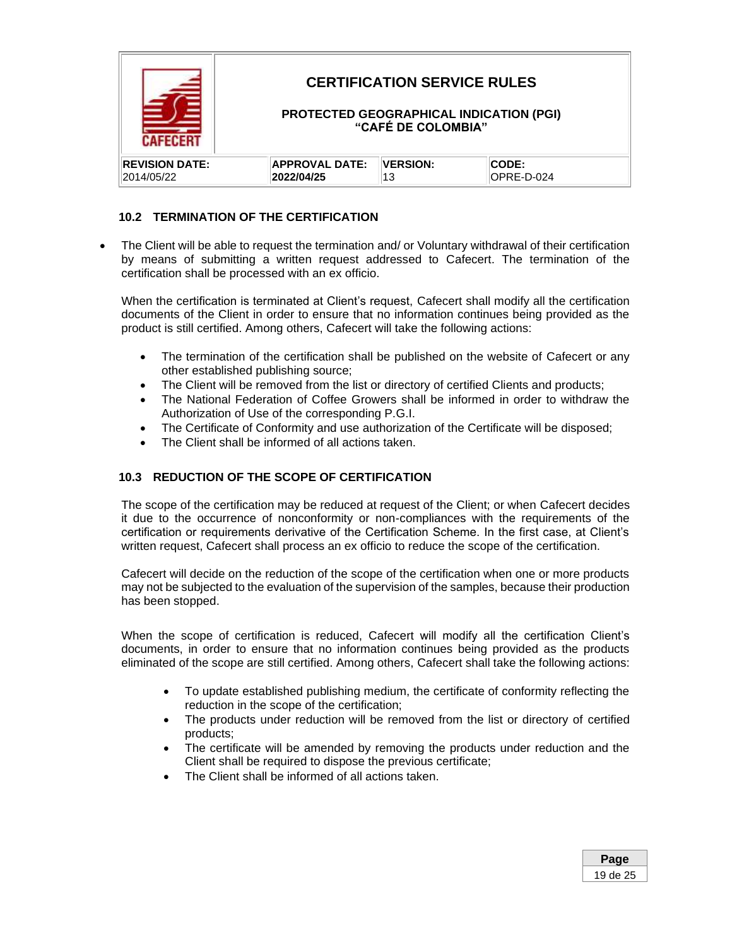

### <span id="page-18-0"></span>**10.2 TERMINATION OF THE CERTIFICATION**

• The Client will be able to request the termination and/ or Voluntary withdrawal of their certification by means of submitting a written request addressed to Cafecert. The termination of the certification shall be processed with an ex officio.

When the certification is terminated at Client's request, Cafecert shall modify all the certification documents of the Client in order to ensure that no information continues being provided as the product is still certified. Among others, Cafecert will take the following actions:

- The termination of the certification shall be published on the website of Cafecert or any other established publishing source;
- The Client will be removed from the list or directory of certified Clients and products;
- The National Federation of Coffee Growers shall be informed in order to withdraw the Authorization of Use of the corresponding P.G.I.
- The Certificate of Conformity and use authorization of the Certificate will be disposed;
- <span id="page-18-1"></span>The Client shall be informed of all actions taken.

### **10.3 REDUCTION OF THE SCOPE OF CERTIFICATION**

The scope of the certification may be reduced at request of the Client; or when Cafecert decides it due to the occurrence of nonconformity or non-compliances with the requirements of the certification or requirements derivative of the Certification Scheme. In the first case, at Client's written request, Cafecert shall process an ex officio to reduce the scope of the certification.

Cafecert will decide on the reduction of the scope of the certification when one or more products may not be subjected to the evaluation of the supervision of the samples, because their production has been stopped.

When the scope of certification is reduced, Cafecert will modify all the certification Client's documents, in order to ensure that no information continues being provided as the products eliminated of the scope are still certified. Among others, Cafecert shall take the following actions:

- To update established publishing medium, the certificate of conformity reflecting the reduction in the scope of the certification;
- The products under reduction will be removed from the list or directory of certified products;
- The certificate will be amended by removing the products under reduction and the Client shall be required to dispose the previous certificate;
- The Client shall be informed of all actions taken.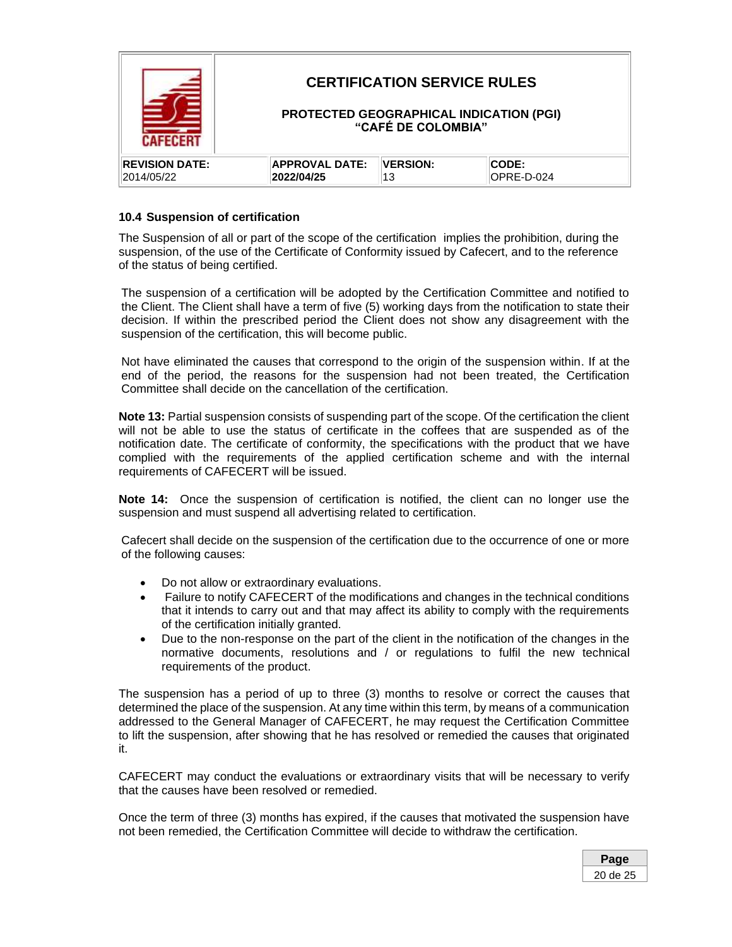|                       |                       | <b>CERTIFICATION SERVICE RULES</b><br>"CAFÉ DE COLOMBIA" | PROTECTED GEOGRAPHICAL INDICATION (PGI) |
|-----------------------|-----------------------|----------------------------------------------------------|-----------------------------------------|
| <b>REVISION DATE:</b> | <b>APPROVAL DATE:</b> | <b>VERSION:</b>                                          | CODE:                                   |
| 2014/05/22            | 2022/04/25            | 13                                                       | OPRE-D-024                              |

### **10.4 Suspension of certification**

The Suspension of all or part of the scope of the certification implies the prohibition, during the suspension, of the use of the Certificate of Conformity issued by Cafecert, and to the reference of the status of being certified.

The suspension of a certification will be adopted by the Certification Committee and notified to the Client. The Client shall have a term of five (5) working days from the notification to state their decision. If within the prescribed period the Client does not show any disagreement with the suspension of the certification, this will become public.

Not have eliminated the causes that correspond to the origin of the suspension within. If at the end of the period, the reasons for the suspension had not been treated, the Certification Committee shall decide on the cancellation of the certification.

**Note 13:** Partial suspension consists of suspending part of the scope. Of the certification the client will not be able to use the status of certificate in the coffees that are suspended as of the notification date. The certificate of conformity, the specifications with the product that we have complied with the requirements of the applied certification scheme and with the internal requirements of CAFECERT will be issued.

**Note 14:** Once the suspension of certification is notified, the client can no longer use the suspension and must suspend all advertising related to certification.

Cafecert shall decide on the suspension of the certification due to the occurrence of one or more of the following causes:

- Do not allow or extraordinary evaluations.
- Failure to notify CAFECERT of the modifications and changes in the technical conditions that it intends to carry out and that may affect its ability to comply with the requirements of the certification initially granted.
- Due to the non-response on the part of the client in the notification of the changes in the normative documents, resolutions and / or regulations to fulfil the new technical requirements of the product.

The suspension has a period of up to three (3) months to resolve or correct the causes that determined the place of the suspension. At any time within this term, by means of a communication addressed to the General Manager of CAFECERT, he may request the Certification Committee to lift the suspension, after showing that he has resolved or remedied the causes that originated it.

CAFECERT may conduct the evaluations or extraordinary visits that will be necessary to verify that the causes have been resolved or remedied.

Once the term of three (3) months has expired, if the causes that motivated the suspension have not been remedied, the Certification Committee will decide to withdraw the certification.

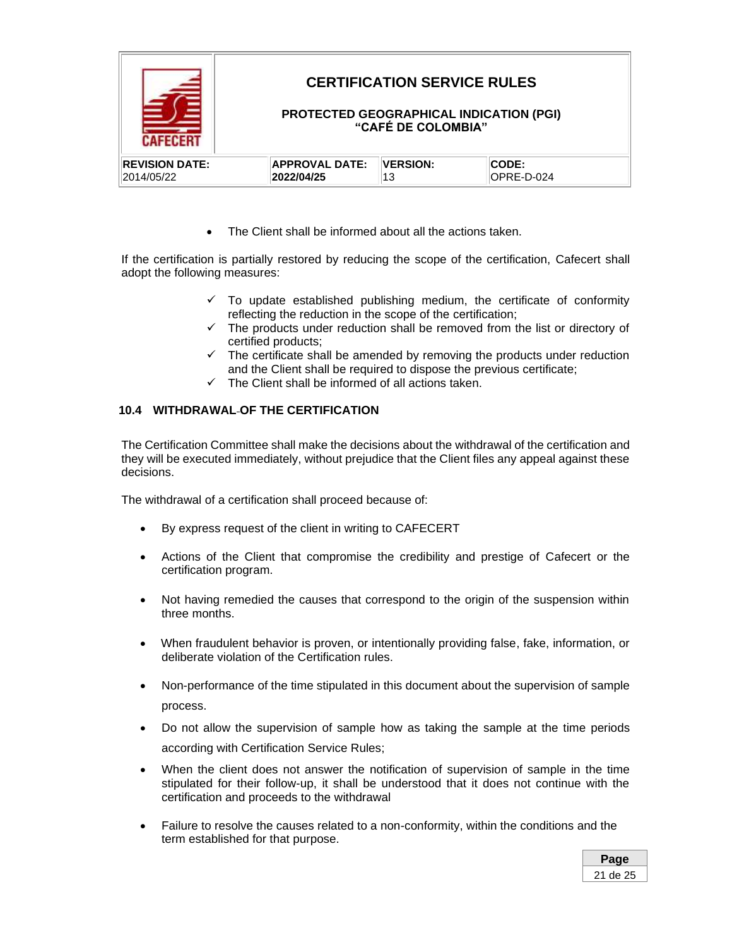

The Client shall be informed about all the actions taken.

If the certification is partially restored by reducing the scope of the certification, Cafecert shall adopt the following measures:

- ✓ To update established publishing medium, the certificate of conformity reflecting the reduction in the scope of the certification;
- ✓ The products under reduction shall be removed from the list or directory of certified products;
- $\checkmark$  The certificate shall be amended by removing the products under reduction and the Client shall be required to dispose the previous certificate;
- $\checkmark$  The Client shall be informed of all actions taken.

### <span id="page-20-0"></span>**10.4 WITHDRAWAL OF THE CERTIFICATION**

The Certification Committee shall make the decisions about the withdrawal of the certification and they will be executed immediately, without prejudice that the Client files any appeal against these decisions.

The withdrawal of a certification shall proceed because of:

- By express request of the client in writing to CAFECERT
- Actions of the Client that compromise the credibility and prestige of Cafecert or the certification program.
- Not having remedied the causes that correspond to the origin of the suspension within three months.
- When fraudulent behavior is proven, or intentionally providing false, fake, information, or deliberate violation of the Certification rules.
- Non-performance of the time stipulated in this document about the supervision of sample process.
- Do not allow the supervision of sample how as taking the sample at the time periods according with Certification Service Rules;
- When the client does not answer the notification of supervision of sample in the time stipulated for their follow-up, it shall be understood that it does not continue with the certification and proceeds to the withdrawal
- Failure to resolve the causes related to a non-conformity, within the conditions and the term established for that purpose.

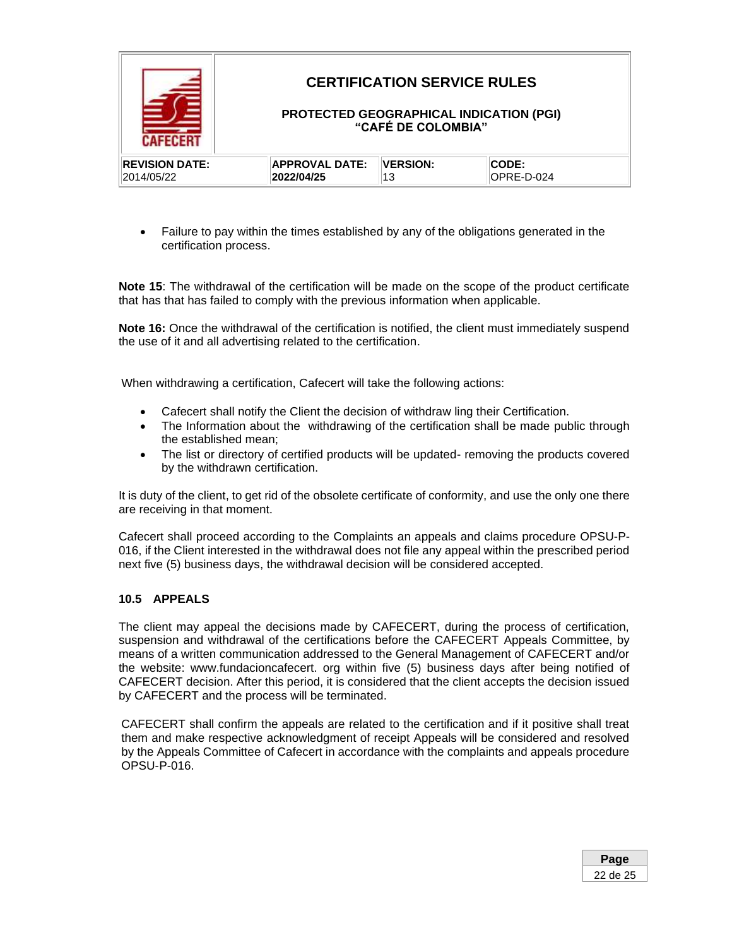

• Failure to pay within the times established by any of the obligations generated in the certification process.

**Note 15**: The withdrawal of the certification will be made on the scope of the product certificate that has that has failed to comply with the previous information when applicable.

**Note 16:** Once the withdrawal of the certification is notified, the client must immediately suspend the use of it and all advertising related to the certification.

When withdrawing a certification, Cafecert will take the following actions:

- Cafecert shall notify the Client the decision of withdraw ling their Certification.
- The Information about the withdrawing of the certification shall be made public through the established mean;
- The list or directory of certified products will be updated- removing the products covered by the withdrawn certification.

It is duty of the client, to get rid of the obsolete certificate of conformity, and use the only one there are receiving in that moment.

Cafecert shall proceed according to the Complaints an appeals and claims procedure OPSU-P-016, if the Client interested in the withdrawal does not file any appeal within the prescribed period next five (5) business days, the withdrawal decision will be considered accepted.

### <span id="page-21-0"></span>**10.5 APPEALS**

The client may appeal the decisions made by CAFECERT, during the process of certification, suspension and withdrawal of the certifications before the CAFECERT Appeals Committee, by means of a written communication addressed to the General Management of CAFECERT and/or the website: www.fundacioncafecert. org within five (5) business days after being notified of CAFECERT decision. After this period, it is considered that the client accepts the decision issued by CAFECERT and the process will be terminated.

CAFECERT shall confirm the appeals are related to the certification and if it positive shall treat them and make respective acknowledgment of receipt Appeals will be considered and resolved by the Appeals Committee of Cafecert in accordance with the complaints and appeals procedure OPSU-P-016.

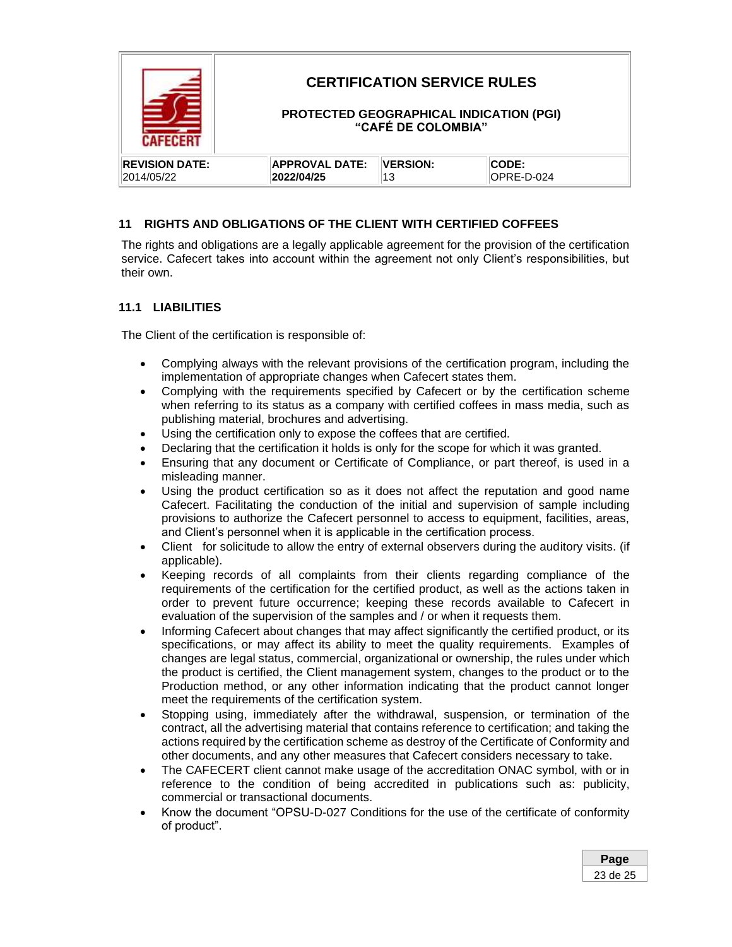

### <span id="page-22-0"></span>**11 RIGHTS AND OBLIGATIONS OF THE CLIENT WITH CERTIFIED COFFEES**

The rights and obligations are a legally applicable agreement for the provision of the certification service. Cafecert takes into account within the agreement not only Client's responsibilities, but their own.

### <span id="page-22-1"></span>**11.1 LIABILITIES**

The Client of the certification is responsible of:

- Complying always with the relevant provisions of the certification program, including the implementation of appropriate changes when Cafecert states them.
- Complying with the requirements specified by Cafecert or by the certification scheme when referring to its status as a company with certified coffees in mass media, such as publishing material, brochures and advertising.
- Using the certification only to expose the coffees that are certified.
- Declaring that the certification it holds is only for the scope for which it was granted.
- Ensuring that any document or Certificate of Compliance, or part thereof, is used in a misleading manner.
- Using the product certification so as it does not affect the reputation and good name Cafecert. Facilitating the conduction of the initial and supervision of sample including provisions to authorize the Cafecert personnel to access to equipment, facilities, areas, and Client's personnel when it is applicable in the certification process.
- Client for solicitude to allow the entry of external observers during the auditory visits. (if applicable).
- Keeping records of all complaints from their clients regarding compliance of the requirements of the certification for the certified product, as well as the actions taken in order to prevent future occurrence; keeping these records available to Cafecert in evaluation of the supervision of the samples and / or when it requests them.
- Informing Cafecert about changes that may affect significantly the certified product, or its specifications, or may affect its ability to meet the quality requirements. Examples of changes are legal status, commercial, organizational or ownership, the rules under which the product is certified, the Client management system, changes to the product or to the Production method, or any other information indicating that the product cannot longer meet the requirements of the certification system.
- Stopping using, immediately after the withdrawal, suspension, or termination of the contract, all the advertising material that contains reference to certification; and taking the actions required by the certification scheme as destroy of the Certificate of Conformity and other documents, and any other measures that Cafecert considers necessary to take.
- The CAFECERT client cannot make usage of the accreditation ONAC symbol, with or in reference to the condition of being accredited in publications such as: publicity, commercial or transactional documents.
- Know the document "OPSU-D-027 Conditions for the use of the certificate of conformity of product".

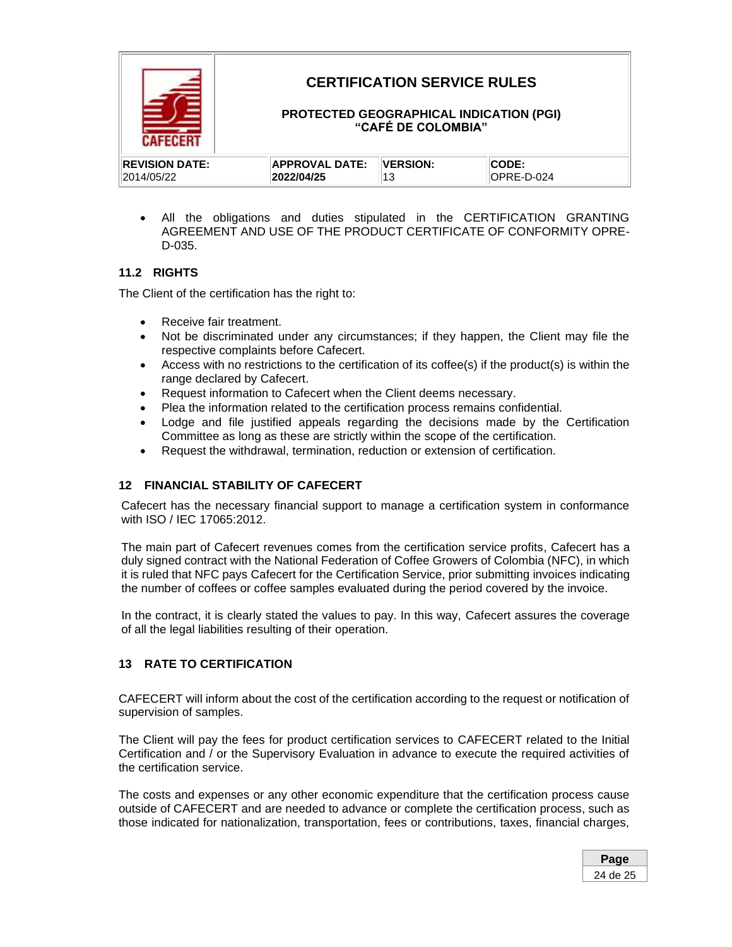

• All the obligations and duties stipulated in the CERTIFICATION GRANTING AGREEMENT AND USE OF THE PRODUCT CERTIFICATE OF CONFORMITY OPRE-D-035.

### <span id="page-23-0"></span>**11.2 RIGHTS**

The Client of the certification has the right to:

- Receive fair treatment.
- Not be discriminated under any circumstances; if they happen, the Client may file the respective complaints before Cafecert.
- Access with no restrictions to the certification of its coffee(s) if the product(s) is within the range declared by Cafecert.
- Request information to Cafecert when the Client deems necessary.
- Plea the information related to the certification process remains confidential.
- Lodge and file justified appeals regarding the decisions made by the Certification Committee as long as these are strictly within the scope of the certification.
- Request the withdrawal, termination, reduction or extension of certification.

### <span id="page-23-1"></span>**12 FINANCIAL STABILITY OF CAFECERT**

Cafecert has the necessary financial support to manage a certification system in conformance with ISO / IEC 17065:2012.

The main part of Cafecert revenues comes from the certification service profits, Cafecert has a duly signed contract with the National Federation of Coffee Growers of Colombia (NFC), in which it is ruled that NFC pays Cafecert for the Certification Service, prior submitting invoices indicating the number of coffees or coffee samples evaluated during the period covered by the invoice.

In the contract, it is clearly stated the values to pay. In this way, Cafecert assures the coverage of all the legal liabilities resulting of their operation.

### <span id="page-23-2"></span>**13 RATE TO CERTIFICATION**

CAFECERT will inform about the cost of the certification according to the request or notification of supervision of samples.

The Client will pay the fees for product certification services to CAFECERT related to the Initial Certification and / or the Supervisory Evaluation in advance to execute the required activities of the certification service.

The costs and expenses or any other economic expenditure that the certification process cause outside of CAFECERT and are needed to advance or complete the certification process, such as those indicated for nationalization, transportation, fees or contributions, taxes, financial charges,

| Page     |  |
|----------|--|
| 24 de 25 |  |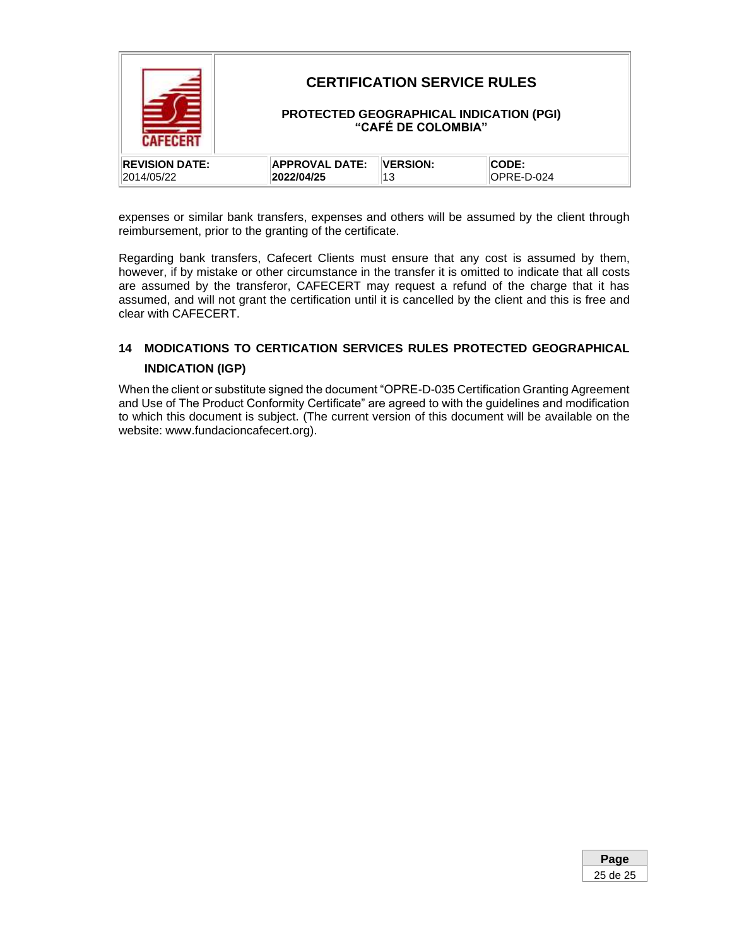|                       |                       | <b>CERTIFICATION SERVICE RULES</b><br>"CAFÉ DE COLOMBIA" | <b>PROTECTED GEOGRAPHICAL INDICATION (PGI)</b> |
|-----------------------|-----------------------|----------------------------------------------------------|------------------------------------------------|
| <b>REVISION DATE:</b> | <b>APPROVAL DATE:</b> | <b>VERSION:</b>                                          | <b>CODE:</b>                                   |
| 2014/05/22            | 2022/04/25            | 13                                                       | OPRE-D-024                                     |

expenses or similar bank transfers, expenses and others will be assumed by the client through reimbursement, prior to the granting of the certificate.

Regarding bank transfers, Cafecert Clients must ensure that any cost is assumed by them, however, if by mistake or other circumstance in the transfer it is omitted to indicate that all costs are assumed by the transferor, CAFECERT may request a refund of the charge that it has assumed, and will not grant the certification until it is cancelled by the client and this is free and clear with CAFECERT.

## <span id="page-24-0"></span>**14 MODICATIONS TO CERTICATION SERVICES RULES PROTECTED GEOGRAPHICAL INDICATION (IGP)**

When the client or substitute signed the document "OPRE-D-035 Certification Granting Agreement and Use of The Product Conformity Certificate" are agreed to with the guidelines and modification to which this document is subject. (The current version of this document will be available on the website: www.fundacioncafecert.org).

| e           |
|-------------|
| de 25<br>25 |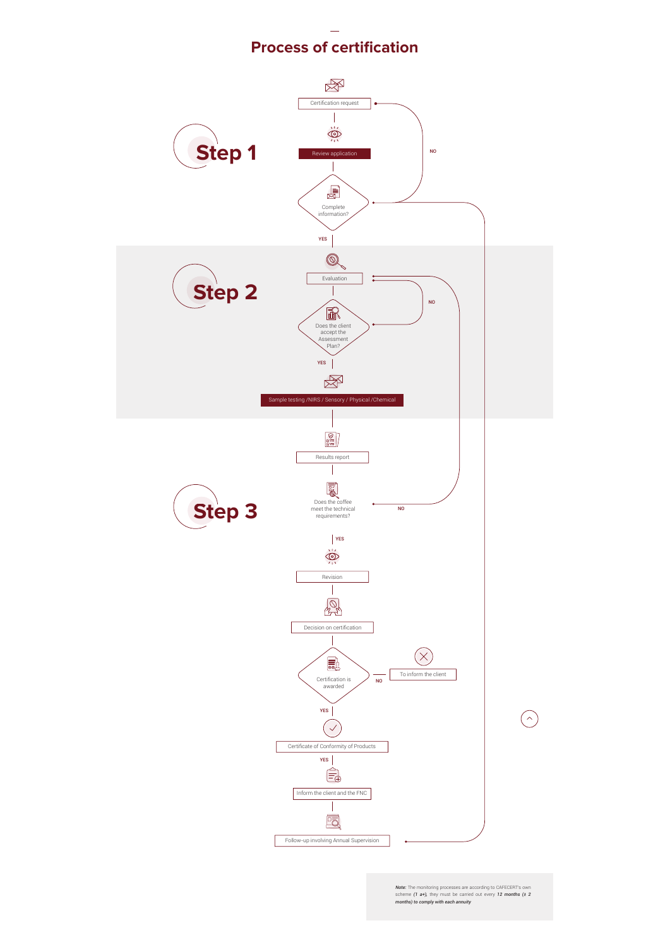

*Note:* The monitoring processes are according to CAFECERT's own scheme *(1 a+),* they must be carried out every *12 months (± 2 months) to comply with each annuity*